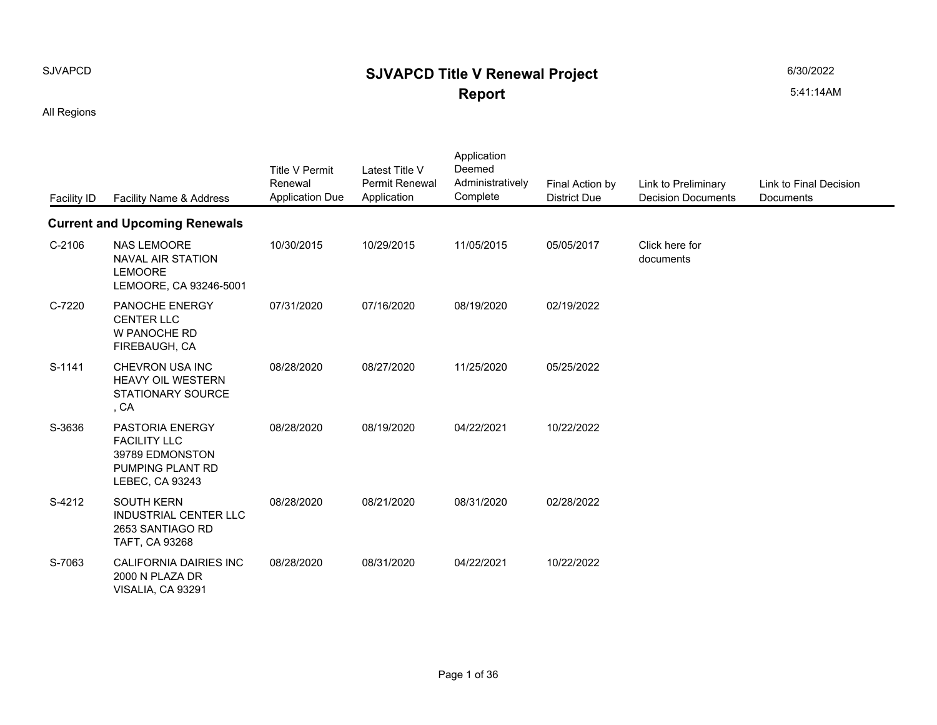## SJVAPCD **SIVAPCD Title V Renewal Project Report**

All Regions

| <b>Facility ID</b> | Facility Name & Address                                                                          | Title V Permit<br>Renewal<br><b>Application Due</b> | Latest Title V<br>Permit Renewal<br>Application | Application<br>Deemed<br>Administratively<br>Complete | Final Action by<br><b>District Due</b> | Link to Preliminary<br><b>Decision Documer</b> |
|--------------------|--------------------------------------------------------------------------------------------------|-----------------------------------------------------|-------------------------------------------------|-------------------------------------------------------|----------------------------------------|------------------------------------------------|
|                    | <b>Current and Upcoming Renewals</b>                                                             |                                                     |                                                 |                                                       |                                        |                                                |
| $C-2106$           | <b>NAS LEMOORE</b><br><b>NAVAL AIR STATION</b><br><b>LEMOORE</b><br>LEMOORE, CA 93246-5001       | 10/30/2015                                          | 10/29/2015                                      | 11/05/2015                                            | 05/05/2017                             | Click here for<br>documents                    |
| C-7220             | PANOCHE ENERGY<br><b>CENTER LLC</b><br>W PANOCHE RD<br>FIREBAUGH, CA                             | 07/31/2020                                          | 07/16/2020                                      | 08/19/2020                                            | 02/19/2022                             |                                                |
| S-1141             | CHEVRON USA INC<br><b>HEAVY OIL WESTERN</b><br><b>STATIONARY SOURCE</b><br>, CA                  | 08/28/2020                                          | 08/27/2020                                      | 11/25/2020                                            | 05/25/2022                             |                                                |
| S-3636             | PASTORIA ENERGY<br><b>FACILITY LLC</b><br>39789 EDMONSTON<br>PUMPING PLANT RD<br>LEBEC, CA 93243 | 08/28/2020                                          | 08/19/2020                                      | 04/22/2021                                            | 10/22/2022                             |                                                |
| S-4212             | <b>SOUTH KERN</b><br><b>INDUSTRIAL CENTER LLC</b><br>2653 SANTIAGO RD<br>TAFT, CA 93268          | 08/28/2020                                          | 08/21/2020                                      | 08/31/2020                                            | 02/28/2022                             |                                                |
| S-7063             | <b>CALIFORNIA DAIRIES INC</b><br>2000 N PLAZA DR<br>VISALIA, CA 93291                            | 08/28/2020                                          | 08/31/2020                                      | 04/22/2021                                            | 10/22/2022                             |                                                |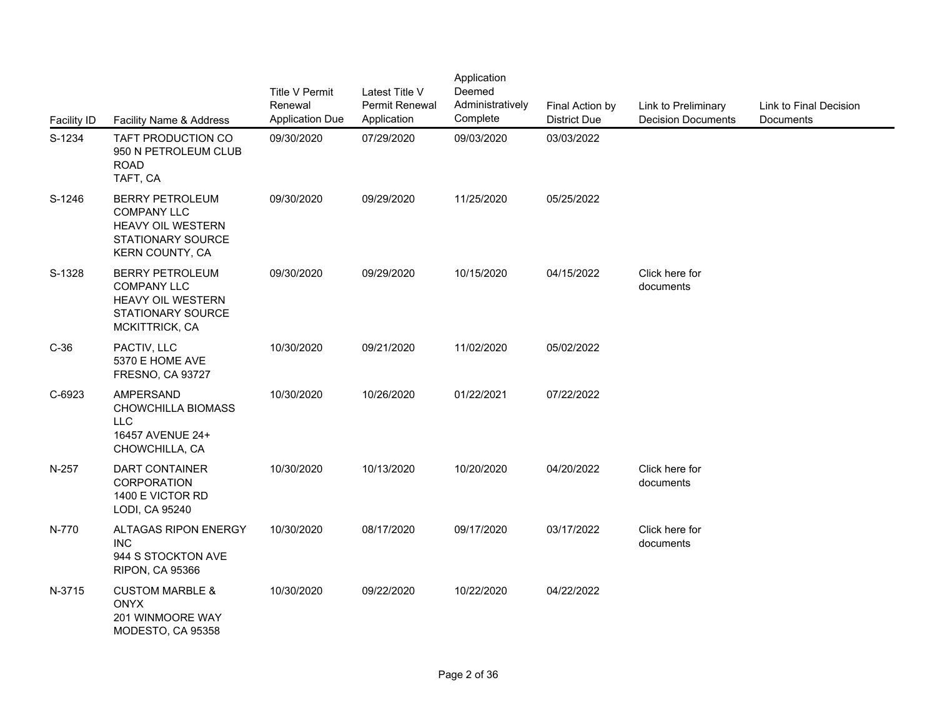| <b>Facility ID</b> | Facility Name & Address                                                                                         | <b>Title V Permit</b><br>Renewal<br><b>Application Due</b> | Latest Title V<br>Permit Renewal<br>Application | Application<br>Deemed<br>Administratively<br>Complete | Final Action by<br><b>District Due</b> | Link to Preliminary<br><b>Decision Documer</b> |
|--------------------|-----------------------------------------------------------------------------------------------------------------|------------------------------------------------------------|-------------------------------------------------|-------------------------------------------------------|----------------------------------------|------------------------------------------------|
| S-1234             | TAFT PRODUCTION CO<br>950 N PETROLEUM CLUB<br><b>ROAD</b><br>TAFT, CA                                           | 09/30/2020                                                 | 07/29/2020                                      | 09/03/2020                                            | 03/03/2022                             |                                                |
| S-1246             | <b>BERRY PETROLEUM</b><br><b>COMPANY LLC</b><br>HEAVY OIL WESTERN<br>STATIONARY SOURCE<br>KERN COUNTY, CA       | 09/30/2020                                                 | 09/29/2020                                      | 11/25/2020                                            | 05/25/2022                             |                                                |
| S-1328             | <b>BERRY PETROLEUM</b><br><b>COMPANY LLC</b><br><b>HEAVY OIL WESTERN</b><br>STATIONARY SOURCE<br>MCKITTRICK, CA | 09/30/2020                                                 | 09/29/2020                                      | 10/15/2020                                            | 04/15/2022                             | Click here for<br>documents                    |
| $C-36$             | PACTIV, LLC<br>5370 E HOME AVE<br><b>FRESNO, CA 93727</b>                                                       | 10/30/2020                                                 | 09/21/2020                                      | 11/02/2020                                            | 05/02/2022                             |                                                |
| C-6923             | <b>AMPERSAND</b><br>CHOWCHILLA BIOMASS<br><b>LLC</b><br>16457 AVENUE 24+<br>CHOWCHILLA, CA                      | 10/30/2020                                                 | 10/26/2020                                      | 01/22/2021                                            | 07/22/2022                             |                                                |
| N-257              | <b>DART CONTAINER</b><br><b>CORPORATION</b><br>1400 E VICTOR RD<br>LODI, CA 95240                               | 10/30/2020                                                 | 10/13/2020                                      | 10/20/2020                                            | 04/20/2022                             | Click here for<br>documents                    |
| N-770              | ALTAGAS RIPON ENERGY<br><b>INC</b><br>944 S STOCKTON AVE<br><b>RIPON, CA 95366</b>                              | 10/30/2020                                                 | 08/17/2020                                      | 09/17/2020                                            | 03/17/2022                             | Click here for<br>documents                    |
| N-3715             | <b>CUSTOM MARBLE &amp;</b><br><b>ONYX</b><br>201 WINMOORE WAY<br>MODESTO, CA 95358                              | 10/30/2020                                                 | 09/22/2020                                      | 10/22/2020                                            | 04/22/2022                             |                                                |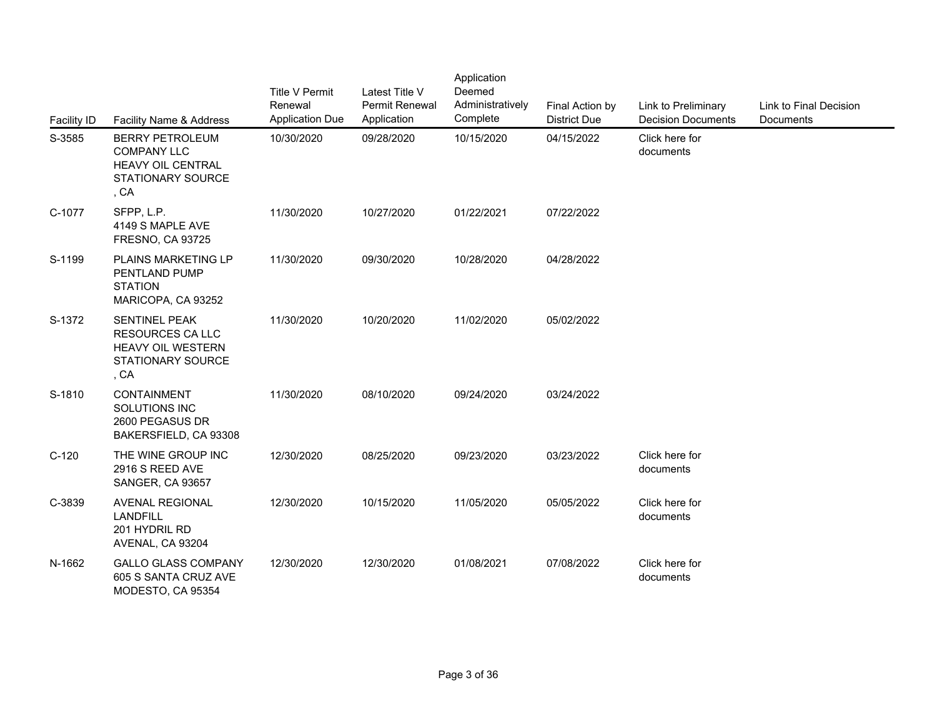| Facility ID | Facility Name & Address                                                                           | <b>Title V Permit</b><br>Renewal<br><b>Application Due</b> | Latest Title V<br>Permit Renewal<br>Application | Application<br>Deemed<br>Administratively<br>Complete | Final Action by<br><b>District Due</b> | Link to Preliminary<br><b>Decision Documer</b> |
|-------------|---------------------------------------------------------------------------------------------------|------------------------------------------------------------|-------------------------------------------------|-------------------------------------------------------|----------------------------------------|------------------------------------------------|
| S-3585      | <b>BERRY PETROLEUM</b><br><b>COMPANY LLC</b><br>HEAVY OIL CENTRAL<br>STATIONARY SOURCE<br>, CA    | 10/30/2020                                                 | 09/28/2020                                      | 10/15/2020                                            | 04/15/2022                             | Click here for<br>documents                    |
| C-1077      | SFPP, L.P.<br>4149 S MAPLE AVE<br><b>FRESNO, CA 93725</b>                                         | 11/30/2020                                                 | 10/27/2020                                      | 01/22/2021                                            | 07/22/2022                             |                                                |
| S-1199      | PLAINS MARKETING LP<br>PENTLAND PUMP<br><b>STATION</b><br>MARICOPA, CA 93252                      | 11/30/2020                                                 | 09/30/2020                                      | 10/28/2020                                            | 04/28/2022                             |                                                |
| S-1372      | SENTINEL PEAK<br><b>RESOURCES CA LLC</b><br>HEAVY OIL WESTERN<br><b>STATIONARY SOURCE</b><br>, CA | 11/30/2020                                                 | 10/20/2020                                      | 11/02/2020                                            | 05/02/2022                             |                                                |
| S-1810      | <b>CONTAINMENT</b><br>SOLUTIONS INC<br>2600 PEGASUS DR<br>BAKERSFIELD, CA 93308                   | 11/30/2020                                                 | 08/10/2020                                      | 09/24/2020                                            | 03/24/2022                             |                                                |
| $C-120$     | THE WINE GROUP INC<br>2916 S REED AVE<br>SANGER, CA 93657                                         | 12/30/2020                                                 | 08/25/2020                                      | 09/23/2020                                            | 03/23/2022                             | Click here for<br>documents                    |
| C-3839      | <b>AVENAL REGIONAL</b><br><b>LANDFILL</b><br>201 HYDRIL RD<br>AVENAL, CA 93204                    | 12/30/2020                                                 | 10/15/2020                                      | 11/05/2020                                            | 05/05/2022                             | Click here for<br>documents                    |
| N-1662      | <b>GALLO GLASS COMPANY</b><br>605 S SANTA CRUZ AVE<br>MODESTO, CA 95354                           | 12/30/2020                                                 | 12/30/2020                                      | 01/08/2021                                            | 07/08/2022                             | Click here for<br>documents                    |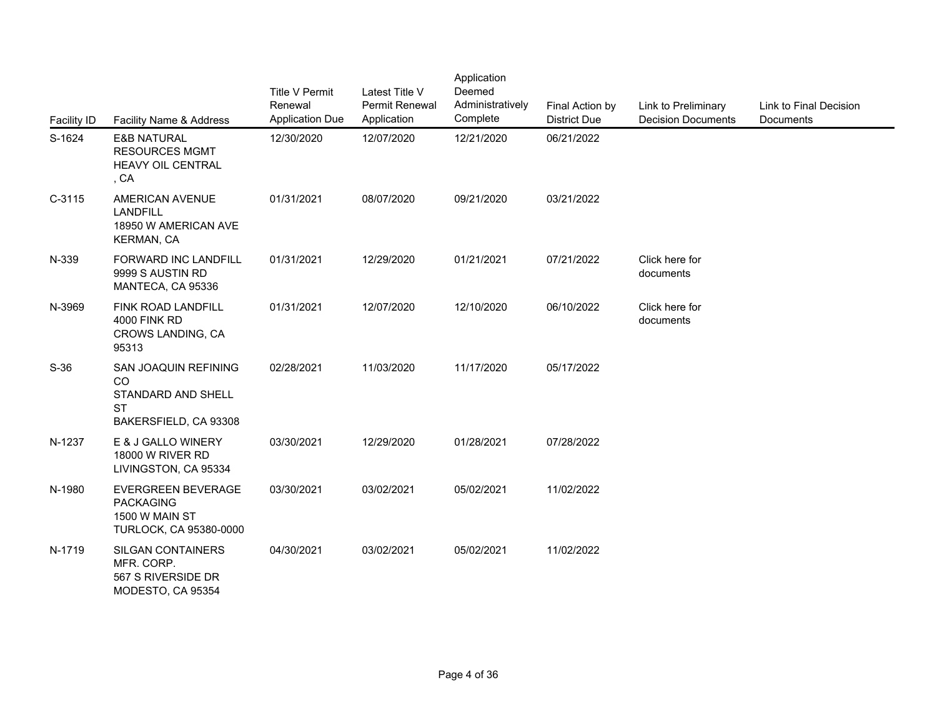| <b>Facility ID</b> | Facility Name & Address                                                                   | <b>Title V Permit</b><br>Renewal<br><b>Application Due</b> | Latest Title V<br>Permit Renewal<br>Application | Application<br>Deemed<br>Administratively<br>Complete | Final Action by<br><b>District Due</b> | Link to Preliminary<br><b>Decision Documer</b> |
|--------------------|-------------------------------------------------------------------------------------------|------------------------------------------------------------|-------------------------------------------------|-------------------------------------------------------|----------------------------------------|------------------------------------------------|
| S-1624             | <b>E&amp;B NATURAL</b><br><b>RESOURCES MGMT</b><br><b>HEAVY OIL CENTRAL</b><br>, CA       | 12/30/2020                                                 | 12/07/2020                                      | 12/21/2020                                            | 06/21/2022                             |                                                |
| $C-3115$           | <b>AMERICAN AVENUE</b><br><b>LANDFILL</b><br>18950 W AMERICAN AVE<br>KERMAN, CA           | 01/31/2021                                                 | 08/07/2020                                      | 09/21/2020                                            | 03/21/2022                             |                                                |
| N-339              | FORWARD INC LANDFILL<br>9999 S AUSTIN RD<br>MANTECA, CA 95336                             | 01/31/2021                                                 | 12/29/2020                                      | 01/21/2021                                            | 07/21/2022                             | Click here for<br>documents                    |
| N-3969             | <b>FINK ROAD LANDFILL</b><br><b>4000 FINK RD</b><br>CROWS LANDING, CA<br>95313            | 01/31/2021                                                 | 12/07/2020                                      | 12/10/2020                                            | 06/10/2022                             | Click here for<br>documents                    |
| $S-36$             | SAN JOAQUIN REFINING<br>CO<br>STANDARD AND SHELL<br><b>ST</b><br>BAKERSFIELD, CA 93308    | 02/28/2021                                                 | 11/03/2020                                      | 11/17/2020                                            | 05/17/2022                             |                                                |
| N-1237             | E & J GALLO WINERY<br>18000 W RIVER RD<br>LIVINGSTON, CA 95334                            | 03/30/2021                                                 | 12/29/2020                                      | 01/28/2021                                            | 07/28/2022                             |                                                |
| N-1980             | <b>EVERGREEN BEVERAGE</b><br><b>PACKAGING</b><br>1500 W MAIN ST<br>TURLOCK, CA 95380-0000 | 03/30/2021                                                 | 03/02/2021                                      | 05/02/2021                                            | 11/02/2022                             |                                                |
| N-1719             | SILGAN CONTAINERS<br>MFR. CORP.<br>567 S RIVERSIDE DR<br>MODESTO, CA 95354                | 04/30/2021                                                 | 03/02/2021                                      | 05/02/2021                                            | 11/02/2022                             |                                                |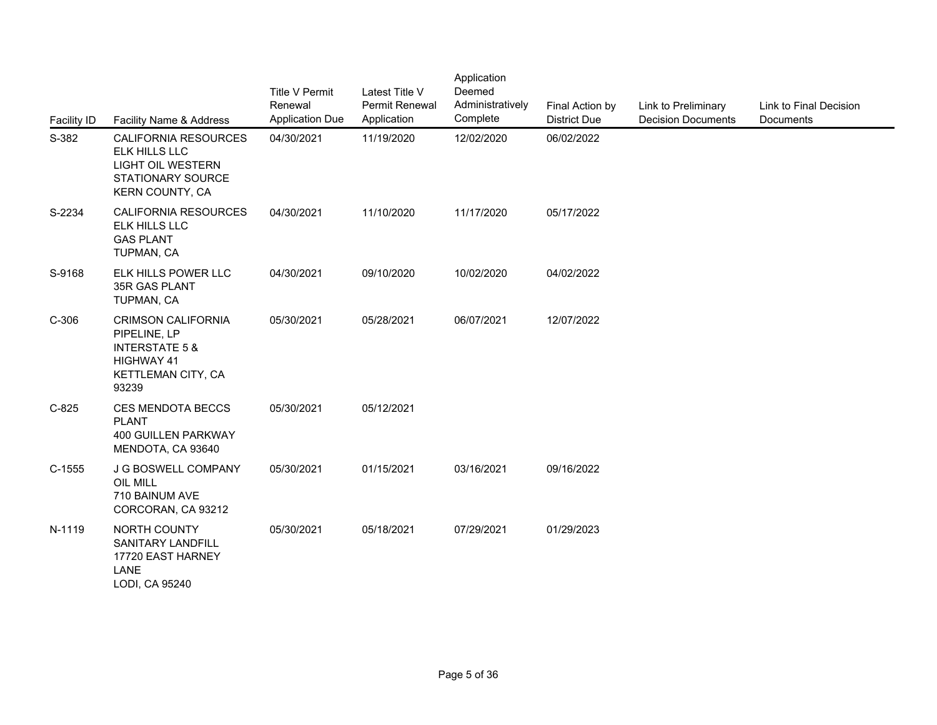| <b>Facility ID</b> | Facility Name & Address                                                                                                    | <b>Title V Permit</b><br>Renewal<br><b>Application Due</b> | Latest Title V<br>Permit Renewal<br>Application | Application<br>Deemed<br>Administratively<br>Complete | Final Action by<br><b>District Due</b> | Link to Preliminary<br><b>Decision Documents</b> | Link to Final Decision<br>Documents |
|--------------------|----------------------------------------------------------------------------------------------------------------------------|------------------------------------------------------------|-------------------------------------------------|-------------------------------------------------------|----------------------------------------|--------------------------------------------------|-------------------------------------|
| S-382              | CALIFORNIA RESOURCES<br>ELK HILLS LLC<br><b>LIGHT OIL WESTERN</b><br>STATIONARY SOURCE<br><b>KERN COUNTY, CA</b>           | 04/30/2021                                                 | 11/19/2020                                      | 12/02/2020                                            | 06/02/2022                             |                                                  |                                     |
| S-2234             | CALIFORNIA RESOURCES<br>ELK HILLS LLC<br><b>GAS PLANT</b><br>TUPMAN, CA                                                    | 04/30/2021                                                 | 11/10/2020                                      | 11/17/2020                                            | 05/17/2022                             |                                                  |                                     |
| S-9168             | ELK HILLS POWER LLC<br>35R GAS PLANT<br>TUPMAN, CA                                                                         | 04/30/2021                                                 | 09/10/2020                                      | 10/02/2020                                            | 04/02/2022                             |                                                  |                                     |
| $C-306$            | <b>CRIMSON CALIFORNIA</b><br>PIPELINE, LP<br><b>INTERSTATE 5 &amp;</b><br><b>HIGHWAY 41</b><br>KETTLEMAN CITY, CA<br>93239 | 05/30/2021                                                 | 05/28/2021                                      | 06/07/2021                                            | 12/07/2022                             |                                                  |                                     |
| $C-825$            | <b>CES MENDOTA BECCS</b><br><b>PLANT</b><br><b>400 GUILLEN PARKWAY</b><br>MENDOTA, CA 93640                                | 05/30/2021                                                 | 05/12/2021                                      |                                                       |                                        |                                                  |                                     |
| $C-1555$           | J G BOSWELL COMPANY<br>OIL MILL<br>710 BAINUM AVE<br>CORCORAN, CA 93212                                                    | 05/30/2021                                                 | 01/15/2021                                      | 03/16/2021                                            | 09/16/2022                             |                                                  |                                     |
| N-1119             | NORTH COUNTY<br>SANITARY LANDFILL<br>17720 EAST HARNEY<br>LANE<br>LODI, CA 95240                                           | 05/30/2021                                                 | 05/18/2021                                      | 07/29/2021                                            | 01/29/2023                             |                                                  |                                     |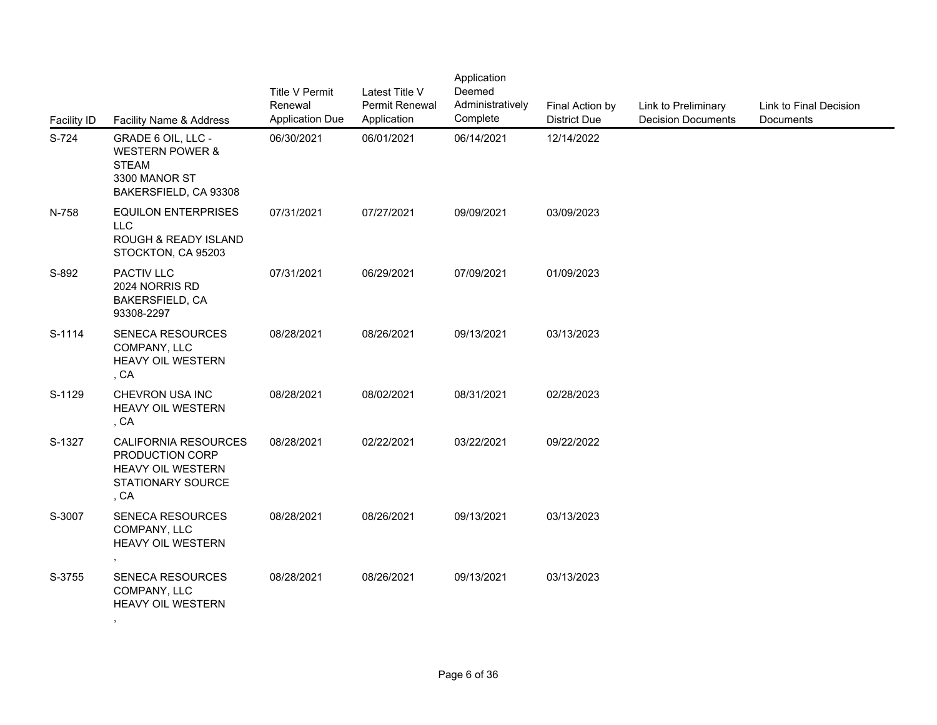| <b>Facility ID</b> | Facility Name & Address                                                                                    | <b>Title V Permit</b><br>Renewal<br><b>Application Due</b> | Latest Title V<br><b>Permit Renewal</b><br>Application | Application<br>Deemed<br>Administratively<br>Complete | Final Action by<br><b>District Due</b> | Link to Preliminary<br><b>Decision Documents</b> | Link to Final Decision<br>Documents |  |
|--------------------|------------------------------------------------------------------------------------------------------------|------------------------------------------------------------|--------------------------------------------------------|-------------------------------------------------------|----------------------------------------|--------------------------------------------------|-------------------------------------|--|
| S-724              | GRADE 6 OIL, LLC -<br><b>WESTERN POWER &amp;</b><br><b>STEAM</b><br>3300 MANOR ST<br>BAKERSFIELD, CA 93308 | 06/30/2021                                                 | 06/01/2021                                             | 06/14/2021                                            | 12/14/2022                             |                                                  |                                     |  |
| N-758              | <b>EQUILON ENTERPRISES</b><br><b>LLC</b><br><b>ROUGH &amp; READY ISLAND</b><br>STOCKTON, CA 95203          | 07/31/2021                                                 | 07/27/2021                                             | 09/09/2021                                            | 03/09/2023                             |                                                  |                                     |  |
| S-892              | PACTIV LLC<br>2024 NORRIS RD<br><b>BAKERSFIELD, CA</b><br>93308-2297                                       | 07/31/2021                                                 | 06/29/2021                                             | 07/09/2021                                            | 01/09/2023                             |                                                  |                                     |  |
| S-1114             | SENECA RESOURCES<br>COMPANY, LLC<br>HEAVY OIL WESTERN<br>, CA                                              | 08/28/2021                                                 | 08/26/2021                                             | 09/13/2021                                            | 03/13/2023                             |                                                  |                                     |  |
| S-1129             | CHEVRON USA INC<br>HEAVY OIL WESTERN<br>, CA                                                               | 08/28/2021                                                 | 08/02/2021                                             | 08/31/2021                                            | 02/28/2023                             |                                                  |                                     |  |
| S-1327             | <b>CALIFORNIA RESOURCES</b><br>PRODUCTION CORP<br><b>HEAVY OIL WESTERN</b><br>STATIONARY SOURCE<br>, CA    | 08/28/2021                                                 | 02/22/2021                                             | 03/22/2021                                            | 09/22/2022                             |                                                  |                                     |  |
| S-3007             | SENECA RESOURCES<br>COMPANY, LLC<br><b>HEAVY OIL WESTERN</b>                                               | 08/28/2021                                                 | 08/26/2021                                             | 09/13/2021                                            | 03/13/2023                             |                                                  |                                     |  |
| S-3755             | SENECA RESOURCES<br>COMPANY, LLC<br>HEAVY OIL WESTERN                                                      | 08/28/2021                                                 | 08/26/2021                                             | 09/13/2021                                            | 03/13/2023                             |                                                  |                                     |  |
|                    |                                                                                                            |                                                            |                                                        |                                                       |                                        |                                                  |                                     |  |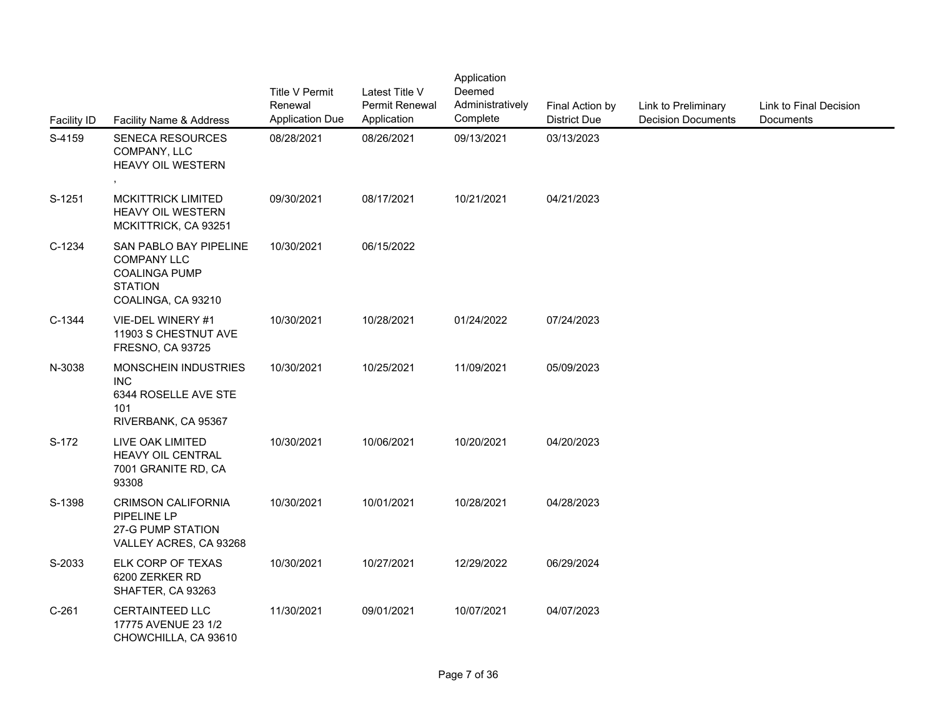| <b>Facility ID</b> | Facility Name & Address                                                                                      | <b>Title V Permit</b><br>Renewal<br><b>Application Due</b> | Latest Title V<br>Permit Renewal<br>Application | Application<br>Deemed<br>Administratively<br>Complete | Final Action by<br><b>District Due</b> | Link to Preliminary<br><b>Decision Documents</b> | Link to Final Decision<br>Documents |
|--------------------|--------------------------------------------------------------------------------------------------------------|------------------------------------------------------------|-------------------------------------------------|-------------------------------------------------------|----------------------------------------|--------------------------------------------------|-------------------------------------|
| S-4159             | <b>SENECA RESOURCES</b><br>COMPANY, LLC<br><b>HEAVY OIL WESTERN</b>                                          | 08/28/2021                                                 | 08/26/2021                                      | 09/13/2021                                            | 03/13/2023                             |                                                  |                                     |
| S-1251             | <b>MCKITTRICK LIMITED</b><br><b>HEAVY OIL WESTERN</b><br>MCKITTRICK, CA 93251                                | 09/30/2021                                                 | 08/17/2021                                      | 10/21/2021                                            | 04/21/2023                             |                                                  |                                     |
| C-1234             | SAN PABLO BAY PIPELINE<br><b>COMPANY LLC</b><br><b>COALINGA PUMP</b><br><b>STATION</b><br>COALINGA, CA 93210 | 10/30/2021                                                 | 06/15/2022                                      |                                                       |                                        |                                                  |                                     |
| C-1344             | VIE-DEL WINERY #1<br>11903 S CHESTNUT AVE<br><b>FRESNO, CA 93725</b>                                         | 10/30/2021                                                 | 10/28/2021                                      | 01/24/2022                                            | 07/24/2023                             |                                                  |                                     |
| N-3038             | MONSCHEIN INDUSTRIES<br><b>INC</b><br>6344 ROSELLE AVE STE<br>101<br>RIVERBANK, CA 95367                     | 10/30/2021                                                 | 10/25/2021                                      | 11/09/2021                                            | 05/09/2023                             |                                                  |                                     |
| S-172              | LIVE OAK LIMITED<br><b>HEAVY OIL CENTRAL</b><br>7001 GRANITE RD, CA<br>93308                                 | 10/30/2021                                                 | 10/06/2021                                      | 10/20/2021                                            | 04/20/2023                             |                                                  |                                     |
| S-1398             | <b>CRIMSON CALIFORNIA</b><br>PIPELINE LP<br>27-G PUMP STATION<br>VALLEY ACRES, CA 93268                      | 10/30/2021                                                 | 10/01/2021                                      | 10/28/2021                                            | 04/28/2023                             |                                                  |                                     |
| S-2033             | ELK CORP OF TEXAS<br>6200 ZERKER RD<br>SHAFTER, CA 93263                                                     | 10/30/2021                                                 | 10/27/2021                                      | 12/29/2022                                            | 06/29/2024                             |                                                  |                                     |
| $C-261$            | <b>CERTAINTEED LLC</b><br>17775 AVENUE 23 1/2<br>CHOWCHILLA, CA 93610                                        | 11/30/2021                                                 | 09/01/2021                                      | 10/07/2021                                            | 04/07/2023                             |                                                  |                                     |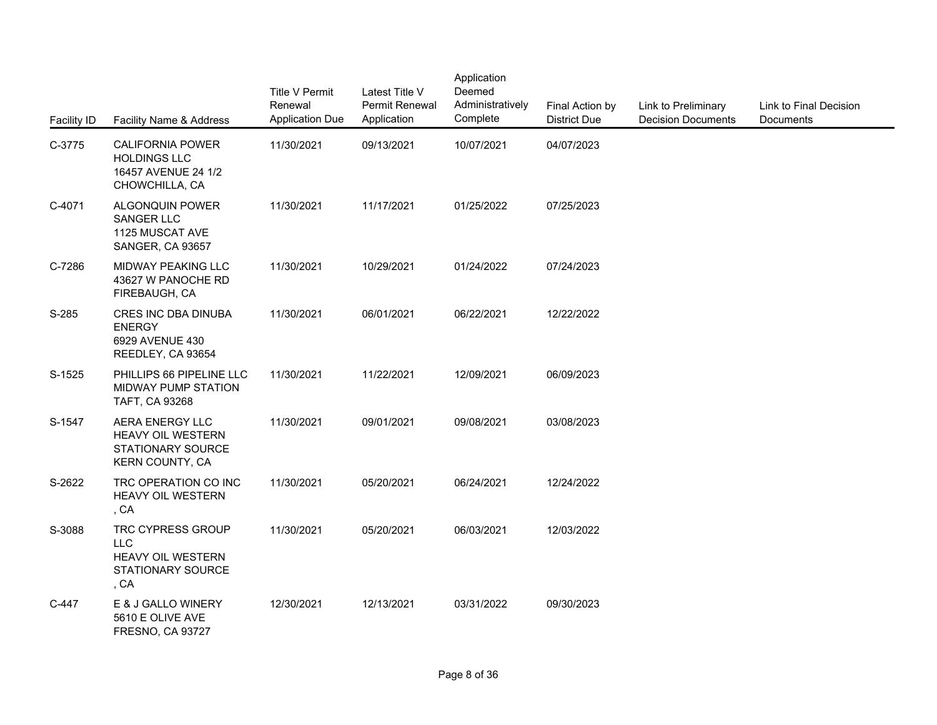| <b>Facility ID</b> | Facility Name & Address                                                                    | <b>Title V Permit</b><br>Renewal<br><b>Application Due</b> | Latest Title V<br><b>Permit Renewal</b><br>Application | Application<br>Deemed<br>Administratively<br>Complete | Final Action by<br><b>District Due</b> | Link to Preliminary<br><b>Decision Documents</b> | Link to Final Decision<br>Documents |
|--------------------|--------------------------------------------------------------------------------------------|------------------------------------------------------------|--------------------------------------------------------|-------------------------------------------------------|----------------------------------------|--------------------------------------------------|-------------------------------------|
| C-3775             | <b>CALIFORNIA POWER</b><br><b>HOLDINGS LLC</b><br>16457 AVENUE 24 1/2<br>CHOWCHILLA, CA    | 11/30/2021                                                 | 09/13/2021                                             | 10/07/2021                                            | 04/07/2023                             |                                                  |                                     |
| C-4071             | ALGONQUIN POWER<br><b>SANGER LLC</b><br>1125 MUSCAT AVE<br>SANGER, CA 93657                | 11/30/2021                                                 | 11/17/2021                                             | 01/25/2022                                            | 07/25/2023                             |                                                  |                                     |
| C-7286             | MIDWAY PEAKING LLC<br>43627 W PANOCHE RD<br>FIREBAUGH, CA                                  | 11/30/2021                                                 | 10/29/2021                                             | 01/24/2022                                            | 07/24/2023                             |                                                  |                                     |
| S-285              | CRES INC DBA DINUBA<br><b>ENERGY</b><br>6929 AVENUE 430<br>REEDLEY, CA 93654               | 11/30/2021                                                 | 06/01/2021                                             | 06/22/2021                                            | 12/22/2022                             |                                                  |                                     |
| S-1525             | PHILLIPS 66 PIPELINE LLC<br>MIDWAY PUMP STATION<br>TAFT, CA 93268                          | 11/30/2021                                                 | 11/22/2021                                             | 12/09/2021                                            | 06/09/2023                             |                                                  |                                     |
| S-1547             | AERA ENERGY LLC<br><b>HEAVY OIL WESTERN</b><br>STATIONARY SOURCE<br><b>KERN COUNTY, CA</b> | 11/30/2021                                                 | 09/01/2021                                             | 09/08/2021                                            | 03/08/2023                             |                                                  |                                     |
| S-2622             | TRC OPERATION CO INC<br>HEAVY OIL WESTERN<br>, CA                                          | 11/30/2021                                                 | 05/20/2021                                             | 06/24/2021                                            | 12/24/2022                             |                                                  |                                     |
| S-3088             | TRC CYPRESS GROUP<br><b>LLC</b><br>HEAVY OIL WESTERN<br>STATIONARY SOURCE<br>, CA          | 11/30/2021                                                 | 05/20/2021                                             | 06/03/2021                                            | 12/03/2022                             |                                                  |                                     |
| C-447              | E & J GALLO WINERY<br>5610 E OLIVE AVE<br>FRESNO, CA 93727                                 | 12/30/2021                                                 | 12/13/2021                                             | 03/31/2022                                            | 09/30/2023                             |                                                  |                                     |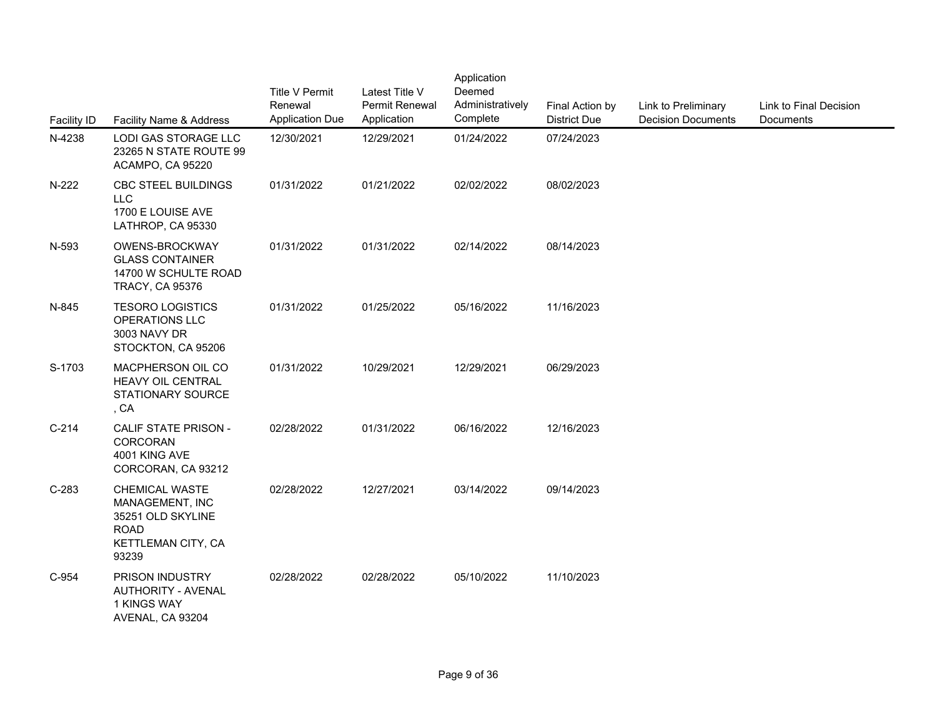| <b>Facility ID</b> | Facility Name & Address                                                                                     | <b>Title V Permit</b><br>Renewal<br><b>Application Due</b> | Latest Title V<br>Permit Renewal<br>Application | Application<br>Deemed<br>Administratively<br>Complete | Final Action by<br><b>District Due</b> | Link to Preliminary<br><b>Decision Documents</b> | Link to Final Decision<br><b>Documents</b> |
|--------------------|-------------------------------------------------------------------------------------------------------------|------------------------------------------------------------|-------------------------------------------------|-------------------------------------------------------|----------------------------------------|--------------------------------------------------|--------------------------------------------|
| N-4238             | LODI GAS STORAGE LLC<br>23265 N STATE ROUTE 99<br>ACAMPO, CA 95220                                          | 12/30/2021                                                 | 12/29/2021                                      | 01/24/2022                                            | 07/24/2023                             |                                                  |                                            |
| N-222              | CBC STEEL BUILDINGS<br><b>LLC</b><br>1700 E LOUISE AVE<br>LATHROP, CA 95330                                 | 01/31/2022                                                 | 01/21/2022                                      | 02/02/2022                                            | 08/02/2023                             |                                                  |                                            |
| N-593              | OWENS-BROCKWAY<br><b>GLASS CONTAINER</b><br>14700 W SCHULTE ROAD<br><b>TRACY, CA 95376</b>                  | 01/31/2022                                                 | 01/31/2022                                      | 02/14/2022                                            | 08/14/2023                             |                                                  |                                            |
| N-845              | <b>TESORO LOGISTICS</b><br>OPERATIONS LLC<br>3003 NAVY DR<br>STOCKTON, CA 95206                             | 01/31/2022                                                 | 01/25/2022                                      | 05/16/2022                                            | 11/16/2023                             |                                                  |                                            |
| S-1703             | MACPHERSON OIL CO<br>HEAVY OIL CENTRAL<br>STATIONARY SOURCE<br>, CA                                         | 01/31/2022                                                 | 10/29/2021                                      | 12/29/2021                                            | 06/29/2023                             |                                                  |                                            |
| $C-214$            | CALIF STATE PRISON -<br>CORCORAN<br>4001 KING AVE<br>CORCORAN, CA 93212                                     | 02/28/2022                                                 | 01/31/2022                                      | 06/16/2022                                            | 12/16/2023                             |                                                  |                                            |
| $C-283$            | <b>CHEMICAL WASTE</b><br>MANAGEMENT, INC<br>35251 OLD SKYLINE<br><b>ROAD</b><br>KETTLEMAN CITY, CA<br>93239 | 02/28/2022                                                 | 12/27/2021                                      | 03/14/2022                                            | 09/14/2023                             |                                                  |                                            |
| C-954              | PRISON INDUSTRY<br><b>AUTHORITY - AVENAL</b><br>1 KINGS WAY<br>AVENAL, CA 93204                             | 02/28/2022                                                 | 02/28/2022                                      | 05/10/2022                                            | 11/10/2023                             |                                                  |                                            |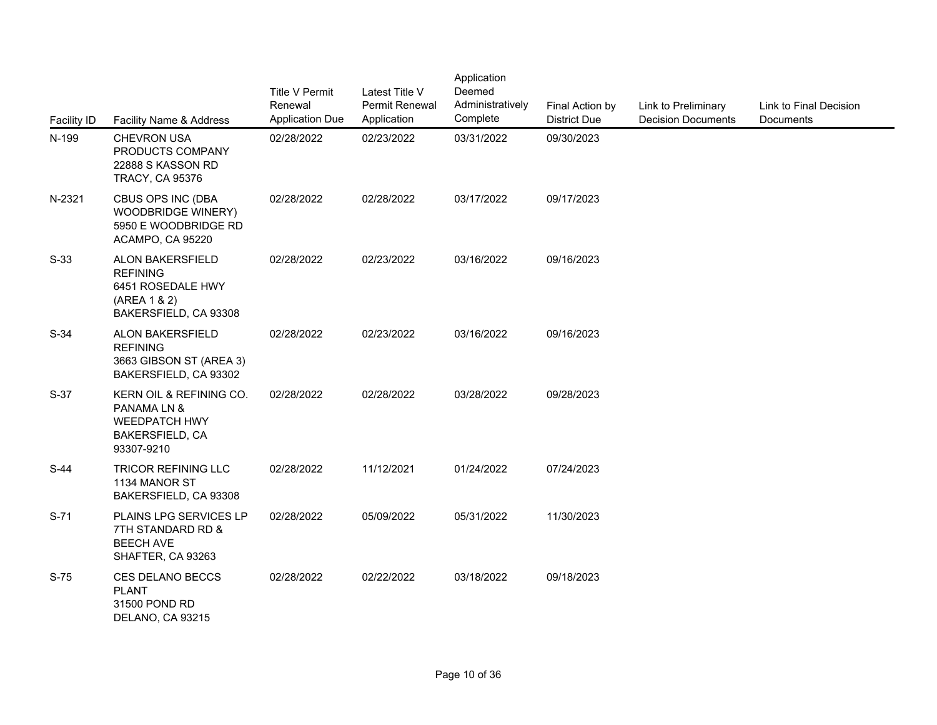| Facility ID | Facility Name & Address                                                                                | <b>Title V Permit</b><br>Renewal<br><b>Application Due</b> | Latest Title V<br>Permit Renewal<br>Application | Application<br>Deemed<br>Administratively<br>Complete | Final Action by<br><b>District Due</b> | Link to Preliminary<br><b>Decision Documents</b> | Link to Final Decision<br>Documents |
|-------------|--------------------------------------------------------------------------------------------------------|------------------------------------------------------------|-------------------------------------------------|-------------------------------------------------------|----------------------------------------|--------------------------------------------------|-------------------------------------|
| N-199       | <b>CHEVRON USA</b><br>PRODUCTS COMPANY<br>22888 S KASSON RD<br><b>TRACY, CA 95376</b>                  | 02/28/2022                                                 | 02/23/2022                                      | 03/31/2022                                            | 09/30/2023                             |                                                  |                                     |
| N-2321      | <b>CBUS OPS INC (DBA</b><br><b>WOODBRIDGE WINERY)</b><br>5950 E WOODBRIDGE RD<br>ACAMPO, CA 95220      | 02/28/2022                                                 | 02/28/2022                                      | 03/17/2022                                            | 09/17/2023                             |                                                  |                                     |
| $S-33$      | ALON BAKERSFIELD<br><b>REFINING</b><br>6451 ROSEDALE HWY<br>(AREA 1 & 2)<br>BAKERSFIELD, CA 93308      | 02/28/2022                                                 | 02/23/2022                                      | 03/16/2022                                            | 09/16/2023                             |                                                  |                                     |
| $S-34$      | ALON BAKERSFIELD<br><b>REFINING</b><br>3663 GIBSON ST (AREA 3)<br>BAKERSFIELD, CA 93302                | 02/28/2022                                                 | 02/23/2022                                      | 03/16/2022                                            | 09/16/2023                             |                                                  |                                     |
| $S-37$      | KERN OIL & REFINING CO.<br>PANAMA LN &<br><b>WEEDPATCH HWY</b><br><b>BAKERSFIELD, CA</b><br>93307-9210 | 02/28/2022                                                 | 02/28/2022                                      | 03/28/2022                                            | 09/28/2023                             |                                                  |                                     |
| $S-44$      | <b>TRICOR REFINING LLC</b><br>1134 MANOR ST<br>BAKERSFIELD, CA 93308                                   | 02/28/2022                                                 | 11/12/2021                                      | 01/24/2022                                            | 07/24/2023                             |                                                  |                                     |
| $S-71$      | <b>PLAINS LPG SERVICES LP</b><br>7TH STANDARD RD &<br><b>BEECH AVE</b><br>SHAFTER, CA 93263            | 02/28/2022                                                 | 05/09/2022                                      | 05/31/2022                                            | 11/30/2023                             |                                                  |                                     |
| $S-75$      | CES DELANO BECCS<br><b>PLANT</b><br>31500 POND RD<br>DELANO, CA 93215                                  | 02/28/2022                                                 | 02/22/2022                                      | 03/18/2022                                            | 09/18/2023                             |                                                  |                                     |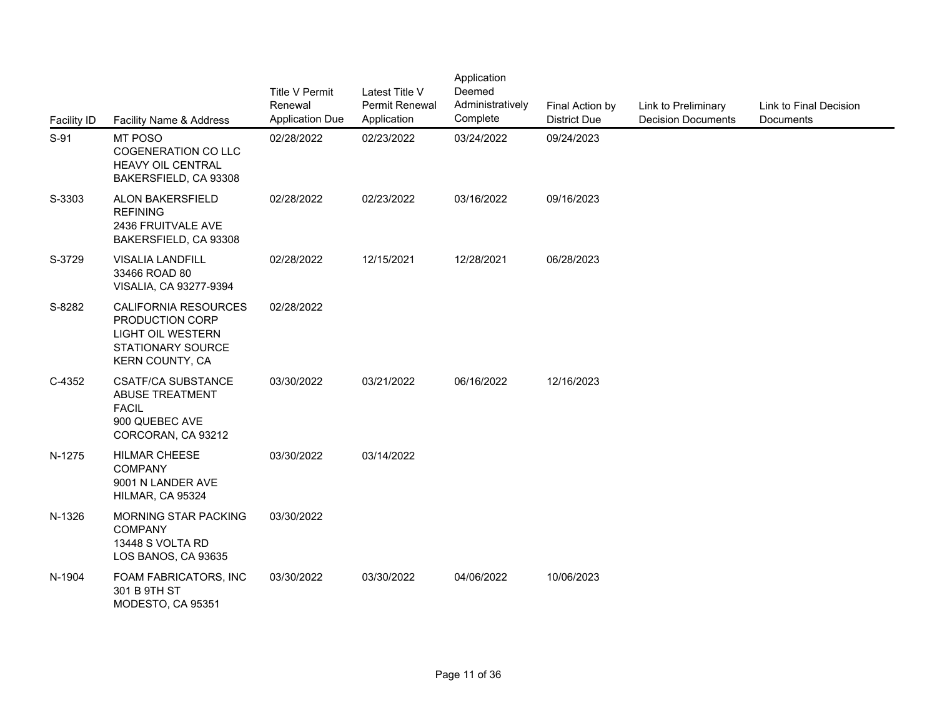| <b>Facility ID</b> | Facility Name & Address                                                                                            | <b>Title V Permit</b><br>Renewal<br><b>Application Due</b> | Latest Title V<br><b>Permit Renewal</b><br>Application | Application<br>Deemed<br>Administratively<br>Complete | Final Action by<br><b>District Due</b> | Link to Preliminary<br><b>Decision Documents</b> | Link to Final Decision<br>Documents |
|--------------------|--------------------------------------------------------------------------------------------------------------------|------------------------------------------------------------|--------------------------------------------------------|-------------------------------------------------------|----------------------------------------|--------------------------------------------------|-------------------------------------|
| $S-91$             | MT POSO<br><b>COGENERATION CO LLC</b><br>HEAVY OIL CENTRAL<br>BAKERSFIELD, CA 93308                                | 02/28/2022                                                 | 02/23/2022                                             | 03/24/2022                                            | 09/24/2023                             |                                                  |                                     |
| S-3303             | ALON BAKERSFIELD<br><b>REFINING</b><br>2436 FRUITVALE AVE<br>BAKERSFIELD, CA 93308                                 | 02/28/2022                                                 | 02/23/2022                                             | 03/16/2022                                            | 09/16/2023                             |                                                  |                                     |
| S-3729             | <b>VISALIA LANDFILL</b><br>33466 ROAD 80<br>VISALIA, CA 93277-9394                                                 | 02/28/2022                                                 | 12/15/2021                                             | 12/28/2021                                            | 06/28/2023                             |                                                  |                                     |
| S-8282             | CALIFORNIA RESOURCES<br>PRODUCTION CORP<br><b>LIGHT OIL WESTERN</b><br>STATIONARY SOURCE<br><b>KERN COUNTY, CA</b> | 02/28/2022                                                 |                                                        |                                                       |                                        |                                                  |                                     |
| C-4352             | <b>CSATF/CA SUBSTANCE</b><br><b>ABUSE TREATMENT</b><br><b>FACIL</b><br>900 QUEBEC AVE<br>CORCORAN, CA 93212        | 03/30/2022                                                 | 03/21/2022                                             | 06/16/2022                                            | 12/16/2023                             |                                                  |                                     |
| N-1275             | <b>HILMAR CHEESE</b><br><b>COMPANY</b><br>9001 N LANDER AVE<br>HILMAR, CA 95324                                    | 03/30/2022                                                 | 03/14/2022                                             |                                                       |                                        |                                                  |                                     |
| N-1326             | MORNING STAR PACKING<br><b>COMPANY</b><br>13448 S VOLTA RD<br>LOS BANOS, CA 93635                                  | 03/30/2022                                                 |                                                        |                                                       |                                        |                                                  |                                     |
| N-1904             | FOAM FABRICATORS, INC<br>301 B 9TH ST<br>MODESTO, CA 95351                                                         | 03/30/2022                                                 | 03/30/2022                                             | 04/06/2022                                            | 10/06/2023                             |                                                  |                                     |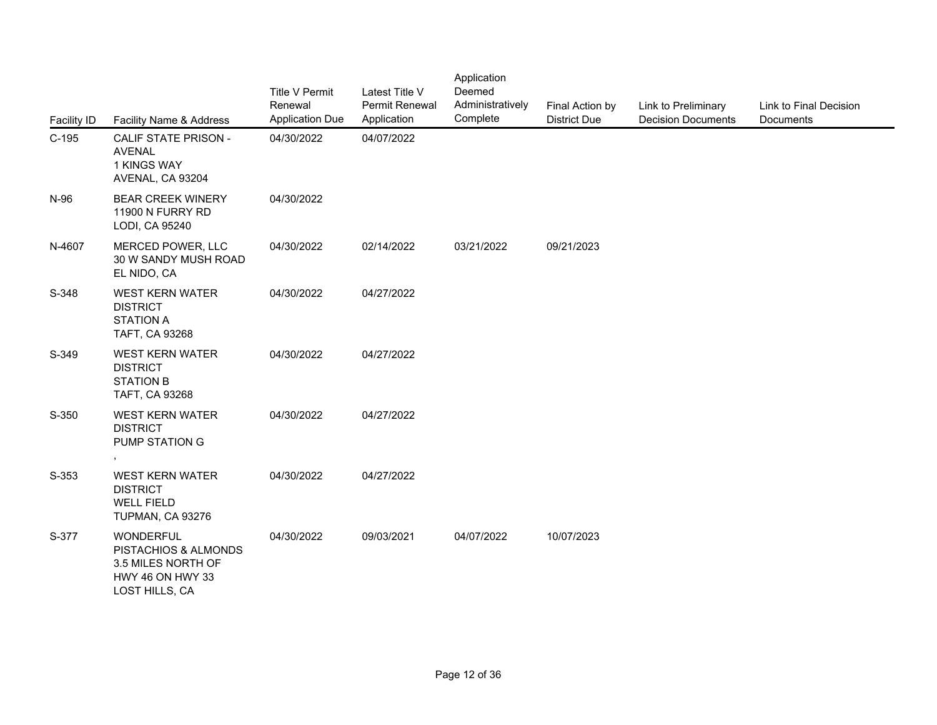| <b>Facility ID</b> | Facility Name & Address                                                                              | <b>Title V Permit</b><br>Renewal<br><b>Application Due</b> | Latest Title V<br>Permit Renewal<br>Application | Application<br>Deemed<br>Administratively<br>Complete | Final Action by<br><b>District Due</b> | Link to Preliminary<br><b>Decision Documents</b> | Link to Final Decision<br>Documents |
|--------------------|------------------------------------------------------------------------------------------------------|------------------------------------------------------------|-------------------------------------------------|-------------------------------------------------------|----------------------------------------|--------------------------------------------------|-------------------------------------|
| $C-195$            | <b>CALIF STATE PRISON -</b><br><b>AVENAL</b><br>1 KINGS WAY<br>AVENAL, CA 93204                      | 04/30/2022                                                 | 04/07/2022                                      |                                                       |                                        |                                                  |                                     |
| N-96               | <b>BEAR CREEK WINERY</b><br>11900 N FURRY RD<br>LODI, CA 95240                                       | 04/30/2022                                                 |                                                 |                                                       |                                        |                                                  |                                     |
| N-4607             | MERCED POWER, LLC<br>30 W SANDY MUSH ROAD<br>EL NIDO, CA                                             | 04/30/2022                                                 | 02/14/2022                                      | 03/21/2022                                            | 09/21/2023                             |                                                  |                                     |
| S-348              | <b>WEST KERN WATER</b><br><b>DISTRICT</b><br><b>STATION A</b><br>TAFT, CA 93268                      | 04/30/2022                                                 | 04/27/2022                                      |                                                       |                                        |                                                  |                                     |
| S-349              | <b>WEST KERN WATER</b><br><b>DISTRICT</b><br><b>STATION B</b><br>TAFT, CA 93268                      | 04/30/2022                                                 | 04/27/2022                                      |                                                       |                                        |                                                  |                                     |
| S-350              | <b>WEST KERN WATER</b><br><b>DISTRICT</b><br>PUMP STATION G                                          | 04/30/2022                                                 | 04/27/2022                                      |                                                       |                                        |                                                  |                                     |
| S-353              | <b>WEST KERN WATER</b><br><b>DISTRICT</b><br><b>WELL FIELD</b><br>TUPMAN, CA 93276                   | 04/30/2022                                                 | 04/27/2022                                      |                                                       |                                        |                                                  |                                     |
| S-377              | <b>WONDERFUL</b><br>PISTACHIOS & ALMONDS<br>3.5 MILES NORTH OF<br>HWY 46 ON HWY 33<br>LOST HILLS, CA | 04/30/2022                                                 | 09/03/2021                                      | 04/07/2022                                            | 10/07/2023                             |                                                  |                                     |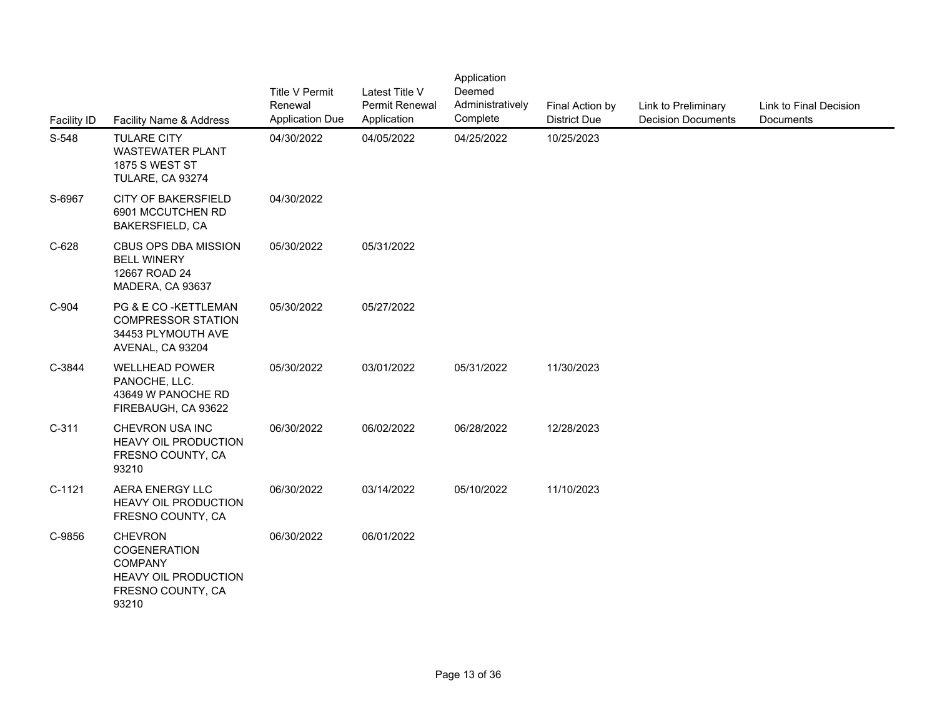| <b>Facility ID</b> | Facility Name & Address                                                                                | <b>Title V Permit</b><br>Renewal<br><b>Application Due</b> | Latest Title V<br>Permit Renewal<br>Application | Application<br>Deemed<br>Administratively<br>Complete | Final Action by<br><b>District Due</b> | Link to Preliminary<br><b>Decision Documents</b> | Link to Final Decision<br>Documents |
|--------------------|--------------------------------------------------------------------------------------------------------|------------------------------------------------------------|-------------------------------------------------|-------------------------------------------------------|----------------------------------------|--------------------------------------------------|-------------------------------------|
| S-548              | <b>TULARE CITY</b><br><b>WASTEWATER PLANT</b><br><b>1875 S WEST ST</b><br>TULARE, CA 93274             | 04/30/2022                                                 | 04/05/2022                                      | 04/25/2022                                            | 10/25/2023                             |                                                  |                                     |
| S-6967             | <b>CITY OF BAKERSFIELD</b><br>6901 MCCUTCHEN RD<br>BAKERSFIELD, CA                                     | 04/30/2022                                                 |                                                 |                                                       |                                        |                                                  |                                     |
| $C-628$            | CBUS OPS DBA MISSION<br><b>BELL WINERY</b><br>12667 ROAD 24<br>MADERA, CA 93637                        | 05/30/2022                                                 | 05/31/2022                                      |                                                       |                                        |                                                  |                                     |
| C-904              | PG & E CO-KETTLEMAN<br><b>COMPRESSOR STATION</b><br>34453 PLYMOUTH AVE<br>AVENAL, CA 93204             | 05/30/2022                                                 | 05/27/2022                                      |                                                       |                                        |                                                  |                                     |
| C-3844             | <b>WELLHEAD POWER</b><br>PANOCHE, LLC.<br>43649 W PANOCHE RD<br>FIREBAUGH, CA 93622                    | 05/30/2022                                                 | 03/01/2022                                      | 05/31/2022                                            | 11/30/2023                             |                                                  |                                     |
| $C-311$            | CHEVRON USA INC<br>HEAVY OIL PRODUCTION<br>FRESNO COUNTY, CA<br>93210                                  | 06/30/2022                                                 | 06/02/2022                                      | 06/28/2022                                            | 12/28/2023                             |                                                  |                                     |
| $C-1121$           | AERA ENERGY LLC<br><b>HEAVY OIL PRODUCTION</b><br>FRESNO COUNTY, CA                                    | 06/30/2022                                                 | 03/14/2022                                      | 05/10/2022                                            | 11/10/2023                             |                                                  |                                     |
| C-9856             | <b>CHEVRON</b><br>COGENERATION<br><b>COMPANY</b><br>HEAVY OIL PRODUCTION<br>FRESNO COUNTY, CA<br>93210 | 06/30/2022                                                 | 06/01/2022                                      |                                                       |                                        |                                                  |                                     |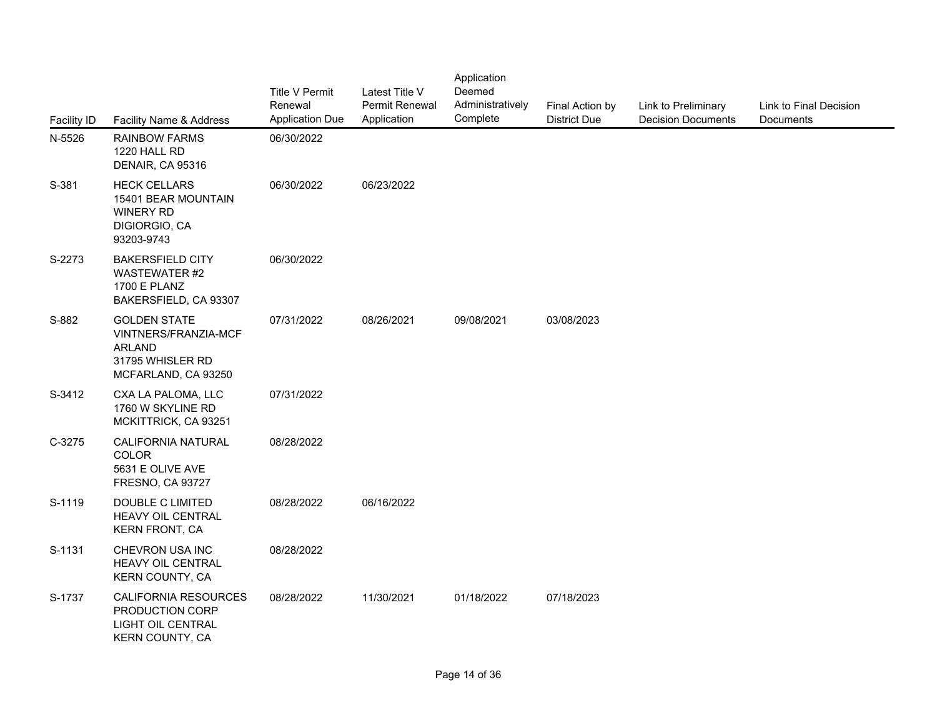| <b>Facility ID</b> | Facility Name & Address                                                                                 | <b>Title V Permit</b><br>Renewal<br><b>Application Due</b> | Latest Title V<br>Permit Renewal<br>Application | Application<br>Deemed<br>Administratively<br>Complete | Final Action by<br><b>District Due</b> | Link to Preliminary<br><b>Decision Documents</b> | Link to Final Decision<br>Documents |
|--------------------|---------------------------------------------------------------------------------------------------------|------------------------------------------------------------|-------------------------------------------------|-------------------------------------------------------|----------------------------------------|--------------------------------------------------|-------------------------------------|
| N-5526             | <b>RAINBOW FARMS</b><br>1220 HALL RD<br>DENAIR, CA 95316                                                | 06/30/2022                                                 |                                                 |                                                       |                                        |                                                  |                                     |
| S-381              | <b>HECK CELLARS</b><br>15401 BEAR MOUNTAIN<br>WINERY RD<br>DIGIORGIO, CA<br>93203-9743                  | 06/30/2022                                                 | 06/23/2022                                      |                                                       |                                        |                                                  |                                     |
| S-2273             | <b>BAKERSFIELD CITY</b><br>WASTEWATER #2<br><b>1700 E PLANZ</b><br>BAKERSFIELD, CA 93307                | 06/30/2022                                                 |                                                 |                                                       |                                        |                                                  |                                     |
| S-882              | <b>GOLDEN STATE</b><br>VINTNERS/FRANZIA-MCF<br><b>ARLAND</b><br>31795 WHISLER RD<br>MCFARLAND, CA 93250 | 07/31/2022                                                 | 08/26/2021                                      | 09/08/2021                                            | 03/08/2023                             |                                                  |                                     |
| S-3412             | CXA LA PALOMA, LLC<br>1760 W SKYLINE RD<br>MCKITTRICK, CA 93251                                         | 07/31/2022                                                 |                                                 |                                                       |                                        |                                                  |                                     |
| C-3275             | <b>CALIFORNIA NATURAL</b><br><b>COLOR</b><br>5631 E OLIVE AVE<br>FRESNO, CA 93727                       | 08/28/2022                                                 |                                                 |                                                       |                                        |                                                  |                                     |
| S-1119             | DOUBLE C LIMITED<br>HEAVY OIL CENTRAL<br><b>KERN FRONT, CA</b>                                          | 08/28/2022                                                 | 06/16/2022                                      |                                                       |                                        |                                                  |                                     |
| S-1131             | CHEVRON USA INC<br>HEAVY OIL CENTRAL<br>KERN COUNTY, CA                                                 | 08/28/2022                                                 |                                                 |                                                       |                                        |                                                  |                                     |
| S-1737             | <b>CALIFORNIA RESOURCES</b><br>PRODUCTION CORP<br>LIGHT OIL CENTRAL<br>KERN COUNTY, CA                  | 08/28/2022                                                 | 11/30/2021                                      | 01/18/2022                                            | 07/18/2023                             |                                                  |                                     |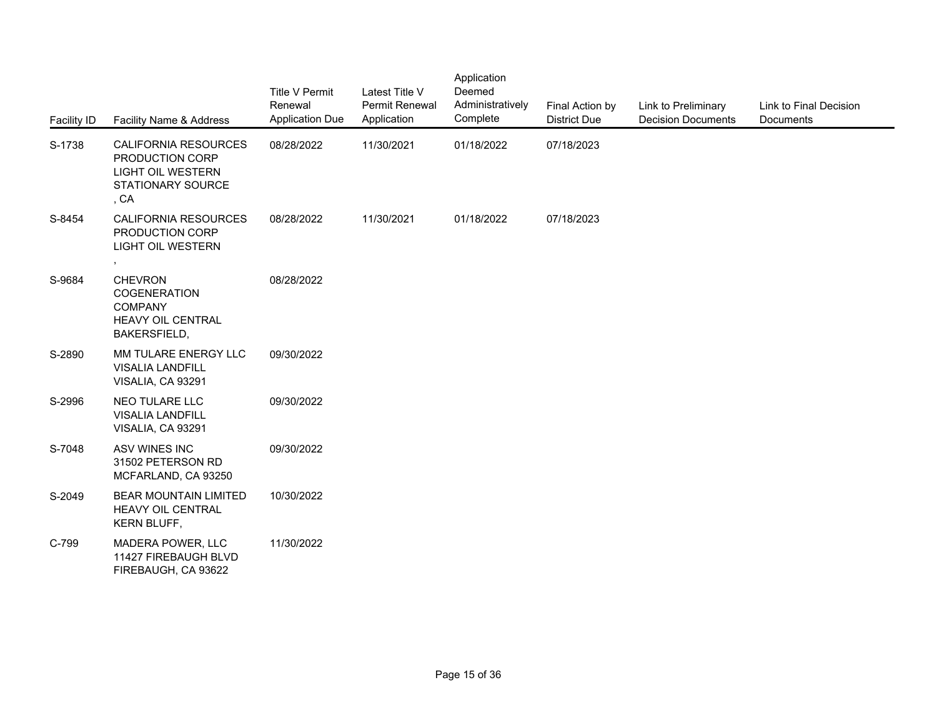| <b>Facility ID</b> | Facility Name & Address                                                                          | <b>Title V Permit</b><br>Renewal<br><b>Application Due</b> | Latest Title V<br>Permit Renewal<br>Application | Application<br>Deemed<br>Administratively<br>Complete | Final Action by<br><b>District Due</b> | Link to Preliminary<br><b>Decision Documents</b> | Link to Final Decision<br>Documents |
|--------------------|--------------------------------------------------------------------------------------------------|------------------------------------------------------------|-------------------------------------------------|-------------------------------------------------------|----------------------------------------|--------------------------------------------------|-------------------------------------|
| S-1738             | CALIFORNIA RESOURCES<br>PRODUCTION CORP<br><b>LIGHT OIL WESTERN</b><br>STATIONARY SOURCE<br>, CA | 08/28/2022                                                 | 11/30/2021                                      | 01/18/2022                                            | 07/18/2023                             |                                                  |                                     |
| S-8454             | <b>CALIFORNIA RESOURCES</b><br>PRODUCTION CORP<br><b>LIGHT OIL WESTERN</b><br>$\bullet$          | 08/28/2022                                                 | 11/30/2021                                      | 01/18/2022                                            | 07/18/2023                             |                                                  |                                     |
| S-9684             | <b>CHEVRON</b><br>COGENERATION<br><b>COMPANY</b><br>HEAVY OIL CENTRAL<br>BAKERSFIELD,            | 08/28/2022                                                 |                                                 |                                                       |                                        |                                                  |                                     |
| S-2890             | MM TULARE ENERGY LLC<br><b>VISALIA LANDFILL</b><br>VISALIA, CA 93291                             | 09/30/2022                                                 |                                                 |                                                       |                                        |                                                  |                                     |
| S-2996             | NEO TULARE LLC<br><b>VISALIA LANDFILL</b><br>VISALIA, CA 93291                                   | 09/30/2022                                                 |                                                 |                                                       |                                        |                                                  |                                     |
| S-7048             | ASV WINES INC<br>31502 PETERSON RD<br>MCFARLAND, CA 93250                                        | 09/30/2022                                                 |                                                 |                                                       |                                        |                                                  |                                     |
| S-2049             | <b>BEAR MOUNTAIN LIMITED</b><br>HEAVY OIL CENTRAL<br>KERN BLUFF,                                 | 10/30/2022                                                 |                                                 |                                                       |                                        |                                                  |                                     |
| C-799              | MADERA POWER, LLC<br>11427 FIREBAUGH BLVD<br>FIREBAUGH, CA 93622                                 | 11/30/2022                                                 |                                                 |                                                       |                                        |                                                  |                                     |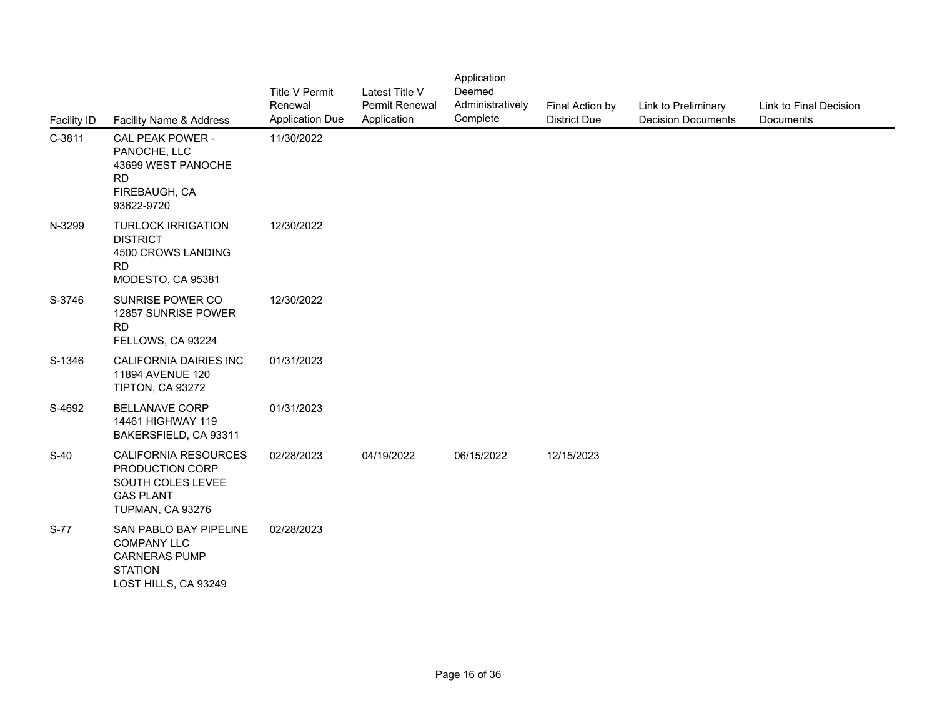| Facility ID | Facility Name & Address                                                                                        | <b>Title V Permit</b><br>Renewal<br><b>Application Due</b> | Latest Title V<br>Permit Renewal<br>Application | Application<br>Deemed<br>Administratively<br>Complete | Final Action by<br><b>District Due</b> | Link to Preliminary<br><b>Decision Documents</b> | Link to Final Decision<br>Documents |
|-------------|----------------------------------------------------------------------------------------------------------------|------------------------------------------------------------|-------------------------------------------------|-------------------------------------------------------|----------------------------------------|--------------------------------------------------|-------------------------------------|
| $C-3811$    | CAL PEAK POWER -<br>PANOCHE, LLC<br>43699 WEST PANOCHE<br><b>RD</b><br>FIREBAUGH, CA<br>93622-9720             | 11/30/2022                                                 |                                                 |                                                       |                                        |                                                  |                                     |
| N-3299      | <b>TURLOCK IRRIGATION</b><br><b>DISTRICT</b><br>4500 CROWS LANDING<br><b>RD</b><br>MODESTO, CA 95381           | 12/30/2022                                                 |                                                 |                                                       |                                        |                                                  |                                     |
| S-3746      | SUNRISE POWER CO<br>12857 SUNRISE POWER<br><b>RD</b><br>FELLOWS, CA 93224                                      | 12/30/2022                                                 |                                                 |                                                       |                                        |                                                  |                                     |
| S-1346      | CALIFORNIA DAIRIES INC<br>11894 AVENUE 120<br>TIPTON, CA 93272                                                 | 01/31/2023                                                 |                                                 |                                                       |                                        |                                                  |                                     |
| S-4692      | <b>BELLANAVE CORP</b><br>14461 HIGHWAY 119<br>BAKERSFIELD, CA 93311                                            | 01/31/2023                                                 |                                                 |                                                       |                                        |                                                  |                                     |
| $S-40$      | CALIFORNIA RESOURCES<br>PRODUCTION CORP<br>SOUTH COLES LEVEE<br><b>GAS PLANT</b><br>TUPMAN, CA 93276           | 02/28/2023                                                 | 04/19/2022                                      | 06/15/2022                                            | 12/15/2023                             |                                                  |                                     |
| S-77        | SAN PABLO BAY PIPELINE<br><b>COMPANY LLC</b><br><b>CARNERAS PUMP</b><br><b>STATION</b><br>LOST HILLS, CA 93249 | 02/28/2023                                                 |                                                 |                                                       |                                        |                                                  |                                     |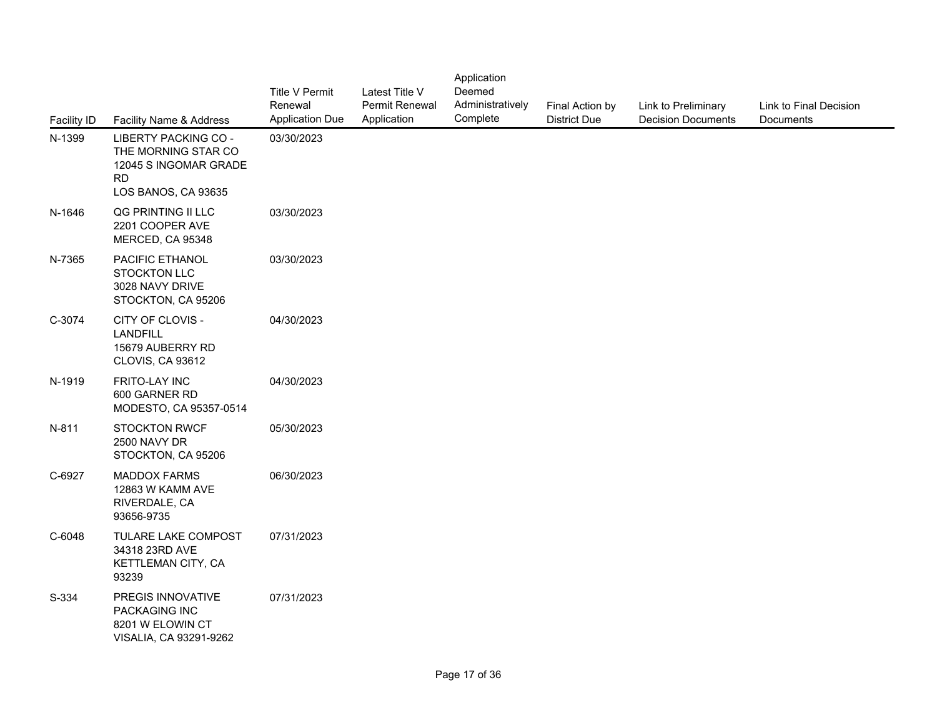| <b>Facility ID</b> | Facility Name & Address                                                                                  | <b>Title V Permit</b><br>Renewal<br><b>Application Due</b> | Latest Title V<br><b>Permit Renewal</b><br>Application | Application<br>Deemed<br>Administratively<br>Complete | Final Action by<br><b>District Due</b> | Link to Preliminary<br><b>Decision Documents</b> | Link to Final Decision<br>Documents |
|--------------------|----------------------------------------------------------------------------------------------------------|------------------------------------------------------------|--------------------------------------------------------|-------------------------------------------------------|----------------------------------------|--------------------------------------------------|-------------------------------------|
| N-1399             | LIBERTY PACKING CO -<br>THE MORNING STAR CO<br>12045 S INGOMAR GRADE<br><b>RD</b><br>LOS BANOS, CA 93635 | 03/30/2023                                                 |                                                        |                                                       |                                        |                                                  |                                     |
| N-1646             | QG PRINTING II LLC<br>2201 COOPER AVE<br>MERCED, CA 95348                                                | 03/30/2023                                                 |                                                        |                                                       |                                        |                                                  |                                     |
| N-7365             | PACIFIC ETHANOL<br><b>STOCKTON LLC</b><br>3028 NAVY DRIVE<br>STOCKTON, CA 95206                          | 03/30/2023                                                 |                                                        |                                                       |                                        |                                                  |                                     |
| C-3074             | CITY OF CLOVIS -<br>LANDFILL<br>15679 AUBERRY RD<br>CLOVIS, CA 93612                                     | 04/30/2023                                                 |                                                        |                                                       |                                        |                                                  |                                     |
| N-1919             | FRITO-LAY INC<br>600 GARNER RD<br>MODESTO, CA 95357-0514                                                 | 04/30/2023                                                 |                                                        |                                                       |                                        |                                                  |                                     |
| N-811              | <b>STOCKTON RWCF</b><br>2500 NAVY DR<br>STOCKTON, CA 95206                                               | 05/30/2023                                                 |                                                        |                                                       |                                        |                                                  |                                     |
| C-6927             | <b>MADDOX FARMS</b><br>12863 W KAMM AVE<br>RIVERDALE, CA<br>93656-9735                                   | 06/30/2023                                                 |                                                        |                                                       |                                        |                                                  |                                     |
| C-6048             | TULARE LAKE COMPOST<br>34318 23RD AVE<br>KETTLEMAN CITY, CA<br>93239                                     | 07/31/2023                                                 |                                                        |                                                       |                                        |                                                  |                                     |
| S-334              | PREGIS INNOVATIVE<br>PACKAGING INC<br>8201 W ELOWIN CT<br>VISALIA, CA 93291-9262                         | 07/31/2023                                                 |                                                        |                                                       |                                        |                                                  |                                     |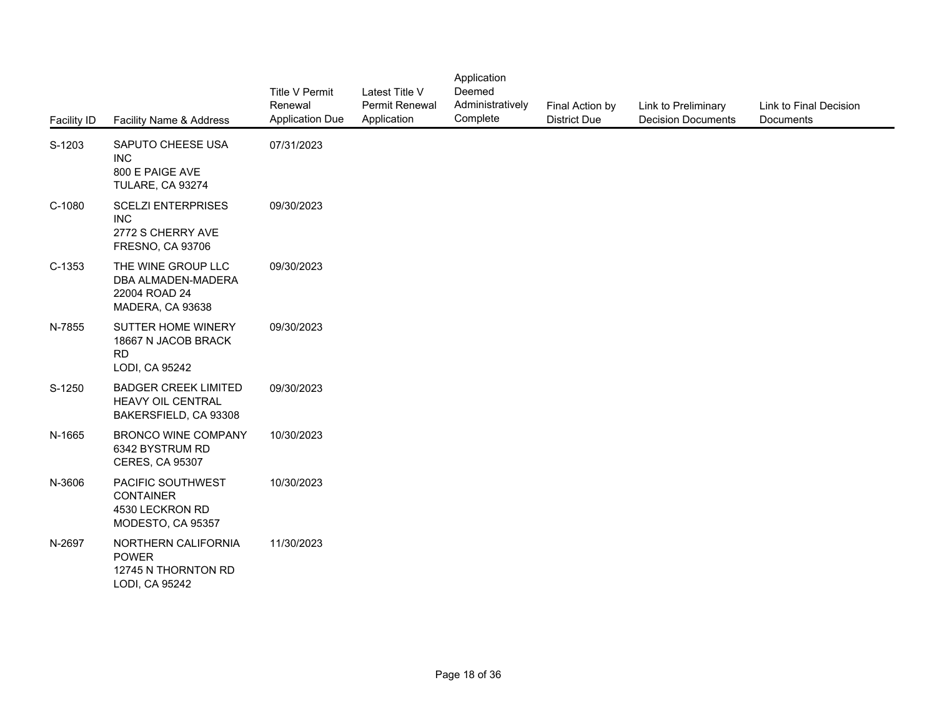| Facility ID | Facility Name & Address                                                          | <b>Title V Permit</b><br>Renewal<br><b>Application Due</b> | Latest Title V<br>Permit Renewal<br>Application | Application<br>Deemed<br>Administratively<br>Complete | Final Action by<br><b>District Due</b> | Link to Preliminary<br><b>Decision Documents</b> | Link to Final Decision<br>Documents |
|-------------|----------------------------------------------------------------------------------|------------------------------------------------------------|-------------------------------------------------|-------------------------------------------------------|----------------------------------------|--------------------------------------------------|-------------------------------------|
| S-1203      | SAPUTO CHEESE USA<br><b>INC</b><br>800 E PAIGE AVE<br>TULARE, CA 93274           | 07/31/2023                                                 |                                                 |                                                       |                                        |                                                  |                                     |
| C-1080      | <b>SCELZI ENTERPRISES</b><br><b>INC</b><br>2772 S CHERRY AVE<br>FRESNO, CA 93706 | 09/30/2023                                                 |                                                 |                                                       |                                        |                                                  |                                     |
| $C-1353$    | THE WINE GROUP LLC<br>DBA ALMADEN-MADERA<br>22004 ROAD 24<br>MADERA, CA 93638    | 09/30/2023                                                 |                                                 |                                                       |                                        |                                                  |                                     |
| N-7855      | SUTTER HOME WINERY<br>18667 N JACOB BRACK<br><b>RD</b><br>LODI, CA 95242         | 09/30/2023                                                 |                                                 |                                                       |                                        |                                                  |                                     |
| S-1250      | <b>BADGER CREEK LIMITED</b><br>HEAVY OIL CENTRAL<br>BAKERSFIELD, CA 93308        | 09/30/2023                                                 |                                                 |                                                       |                                        |                                                  |                                     |
| N-1665      | <b>BRONCO WINE COMPANY</b><br>6342 BYSTRUM RD<br><b>CERES, CA 95307</b>          | 10/30/2023                                                 |                                                 |                                                       |                                        |                                                  |                                     |
| N-3606      | PACIFIC SOUTHWEST<br><b>CONTAINER</b><br>4530 LECKRON RD<br>MODESTO, CA 95357    | 10/30/2023                                                 |                                                 |                                                       |                                        |                                                  |                                     |
| N-2697      | NORTHERN CALIFORNIA<br><b>POWER</b><br>12745 N THORNTON RD<br>LODI, CA 95242     | 11/30/2023                                                 |                                                 |                                                       |                                        |                                                  |                                     |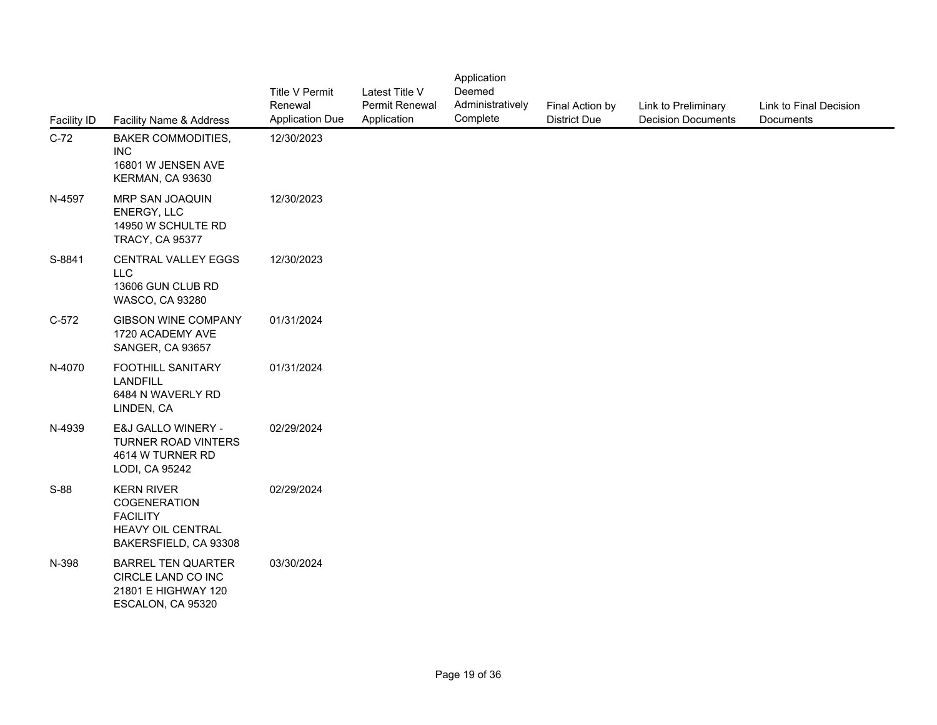| <b>Facility ID</b> | Facility Name & Address                                                                            | <b>Title V Permit</b><br>Renewal<br><b>Application Due</b> | Latest Title V<br>Permit Renewal<br>Application | Application<br>Deemed<br>Administratively<br>Complete | Final Action by<br><b>District Due</b> | Link to Preliminary<br><b>Decision Documents</b> | Link to Final Decision<br>Documents |
|--------------------|----------------------------------------------------------------------------------------------------|------------------------------------------------------------|-------------------------------------------------|-------------------------------------------------------|----------------------------------------|--------------------------------------------------|-------------------------------------|
| $C-72$             | <b>BAKER COMMODITIES,</b><br><b>INC</b><br>16801 W JENSEN AVE<br>KERMAN, CA 93630                  | 12/30/2023                                                 |                                                 |                                                       |                                        |                                                  |                                     |
| N-4597             | MRP SAN JOAQUIN<br>ENERGY, LLC<br>14950 W SCHULTE RD<br><b>TRACY, CA 95377</b>                     | 12/30/2023                                                 |                                                 |                                                       |                                        |                                                  |                                     |
| S-8841             | CENTRAL VALLEY EGGS<br><b>LLC</b><br>13606 GUN CLUB RD<br>WASCO, CA 93280                          | 12/30/2023                                                 |                                                 |                                                       |                                        |                                                  |                                     |
| $C-572$            | <b>GIBSON WINE COMPANY</b><br>1720 ACADEMY AVE<br>SANGER, CA 93657                                 | 01/31/2024                                                 |                                                 |                                                       |                                        |                                                  |                                     |
| N-4070             | FOOTHILL SANITARY<br><b>LANDFILL</b><br>6484 N WAVERLY RD<br>LINDEN, CA                            | 01/31/2024                                                 |                                                 |                                                       |                                        |                                                  |                                     |
| N-4939             | E&J GALLO WINERY -<br><b>TURNER ROAD VINTERS</b><br>4614 W TURNER RD<br>LODI, CA 95242             | 02/29/2024                                                 |                                                 |                                                       |                                        |                                                  |                                     |
| $S-88$             | <b>KERN RIVER</b><br>COGENERATION<br><b>FACILITY</b><br>HEAVY OIL CENTRAL<br>BAKERSFIELD, CA 93308 | 02/29/2024                                                 |                                                 |                                                       |                                        |                                                  |                                     |
| N-398              | <b>BARREL TEN QUARTER</b><br>CIRCLE LAND CO INC<br>21801 E HIGHWAY 120<br>ESCALON, CA 95320        | 03/30/2024                                                 |                                                 |                                                       |                                        |                                                  |                                     |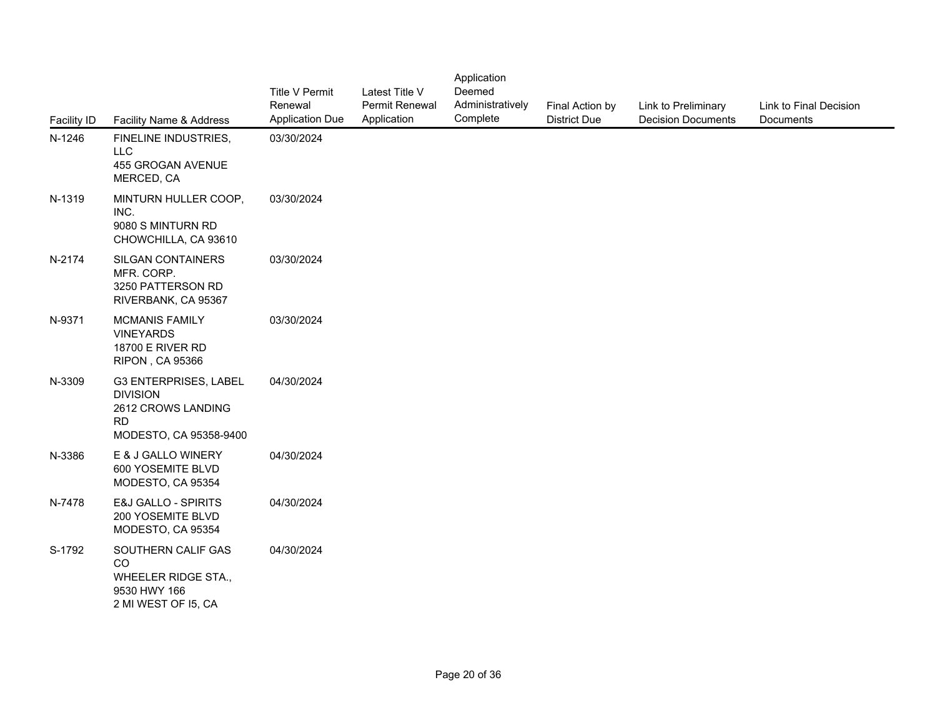| Facility ID | Facility Name & Address                                                                               | <b>Title V Permit</b><br>Renewal<br><b>Application Due</b> | Latest Title V<br>Permit Renewal<br>Application | Application<br>Deemed<br>Administratively<br>Complete | Final Action by<br><b>District Due</b> | Link to Preliminary<br><b>Decision Documents</b> | Link to Final Decision<br>Documents |
|-------------|-------------------------------------------------------------------------------------------------------|------------------------------------------------------------|-------------------------------------------------|-------------------------------------------------------|----------------------------------------|--------------------------------------------------|-------------------------------------|
| N-1246      | FINELINE INDUSTRIES,<br><b>LLC</b><br>455 GROGAN AVENUE<br>MERCED, CA                                 | 03/30/2024                                                 |                                                 |                                                       |                                        |                                                  |                                     |
| N-1319      | MINTURN HULLER COOP,<br>INC.<br>9080 S MINTURN RD<br>CHOWCHILLA, CA 93610                             | 03/30/2024                                                 |                                                 |                                                       |                                        |                                                  |                                     |
| N-2174      | <b>SILGAN CONTAINERS</b><br>MFR. CORP.<br>3250 PATTERSON RD<br>RIVERBANK, CA 95367                    | 03/30/2024                                                 |                                                 |                                                       |                                        |                                                  |                                     |
| N-9371      | <b>MCMANIS FAMILY</b><br><b>VINEYARDS</b><br><b>18700 E RIVER RD</b><br><b>RIPON, CA 95366</b>        | 03/30/2024                                                 |                                                 |                                                       |                                        |                                                  |                                     |
| N-3309      | G3 ENTERPRISES, LABEL<br><b>DIVISION</b><br>2612 CROWS LANDING<br><b>RD</b><br>MODESTO, CA 95358-9400 | 04/30/2024                                                 |                                                 |                                                       |                                        |                                                  |                                     |
| N-3386      | E & J GALLO WINERY<br>600 YOSEMITE BLVD<br>MODESTO, CA 95354                                          | 04/30/2024                                                 |                                                 |                                                       |                                        |                                                  |                                     |
| N-7478      | <b>E&amp;J GALLO - SPIRITS</b><br>200 YOSEMITE BLVD<br>MODESTO, CA 95354                              | 04/30/2024                                                 |                                                 |                                                       |                                        |                                                  |                                     |
| S-1792      | SOUTHERN CALIF GAS<br>CO<br>WHEELER RIDGE STA.,<br>9530 HWY 166<br>2 MI WEST OF 15, CA                | 04/30/2024                                                 |                                                 |                                                       |                                        |                                                  |                                     |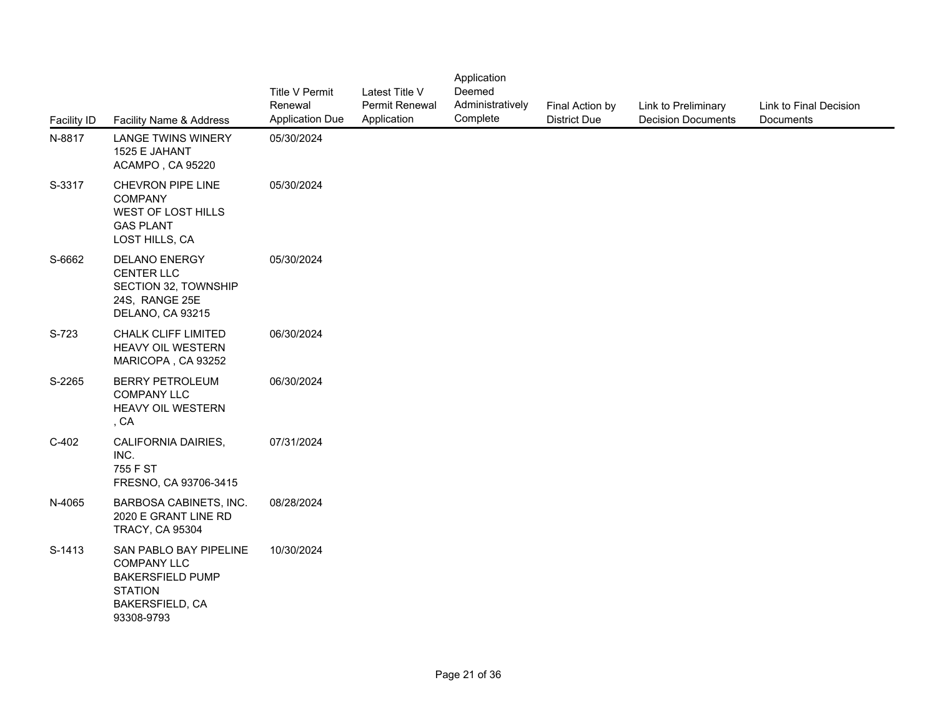| <b>Facility ID</b> | Facility Name & Address                                                                                                    | <b>Title V Permit</b><br>Renewal<br><b>Application Due</b> | Latest Title V<br>Permit Renewal<br>Application | Application<br>Deemed<br>Administratively<br>Complete | Final Action by<br><b>District Due</b> | Link to Preliminary<br><b>Decision Documents</b> | Link to Final Decision<br>Documents |
|--------------------|----------------------------------------------------------------------------------------------------------------------------|------------------------------------------------------------|-------------------------------------------------|-------------------------------------------------------|----------------------------------------|--------------------------------------------------|-------------------------------------|
| N-8817             | <b>LANGE TWINS WINERY</b><br>1525 E JAHANT<br>ACAMPO, CA 95220                                                             | 05/30/2024                                                 |                                                 |                                                       |                                        |                                                  |                                     |
| S-3317             | CHEVRON PIPE LINE<br><b>COMPANY</b><br>WEST OF LOST HILLS<br><b>GAS PLANT</b><br>LOST HILLS, CA                            | 05/30/2024                                                 |                                                 |                                                       |                                        |                                                  |                                     |
| S-6662             | DELANO ENERGY<br><b>CENTER LLC</b><br>SECTION 32, TOWNSHIP<br>24S, RANGE 25E<br>DELANO, CA 93215                           | 05/30/2024                                                 |                                                 |                                                       |                                        |                                                  |                                     |
| S-723              | <b>CHALK CLIFF LIMITED</b><br>HEAVY OIL WESTERN<br>MARICOPA, CA 93252                                                      | 06/30/2024                                                 |                                                 |                                                       |                                        |                                                  |                                     |
| S-2265             | <b>BERRY PETROLEUM</b><br><b>COMPANY LLC</b><br>HEAVY OIL WESTERN<br>, CA                                                  | 06/30/2024                                                 |                                                 |                                                       |                                        |                                                  |                                     |
| $C-402$            | CALIFORNIA DAIRIES,<br>INC.<br>755 F ST<br>FRESNO, CA 93706-3415                                                           | 07/31/2024                                                 |                                                 |                                                       |                                        |                                                  |                                     |
| N-4065             | BARBOSA CABINETS, INC.<br>2020 E GRANT LINE RD<br><b>TRACY, CA 95304</b>                                                   | 08/28/2024                                                 |                                                 |                                                       |                                        |                                                  |                                     |
| S-1413             | SAN PABLO BAY PIPELINE<br><b>COMPANY LLC</b><br><b>BAKERSFIELD PUMP</b><br><b>STATION</b><br>BAKERSFIELD, CA<br>93308-9793 | 10/30/2024                                                 |                                                 |                                                       |                                        |                                                  |                                     |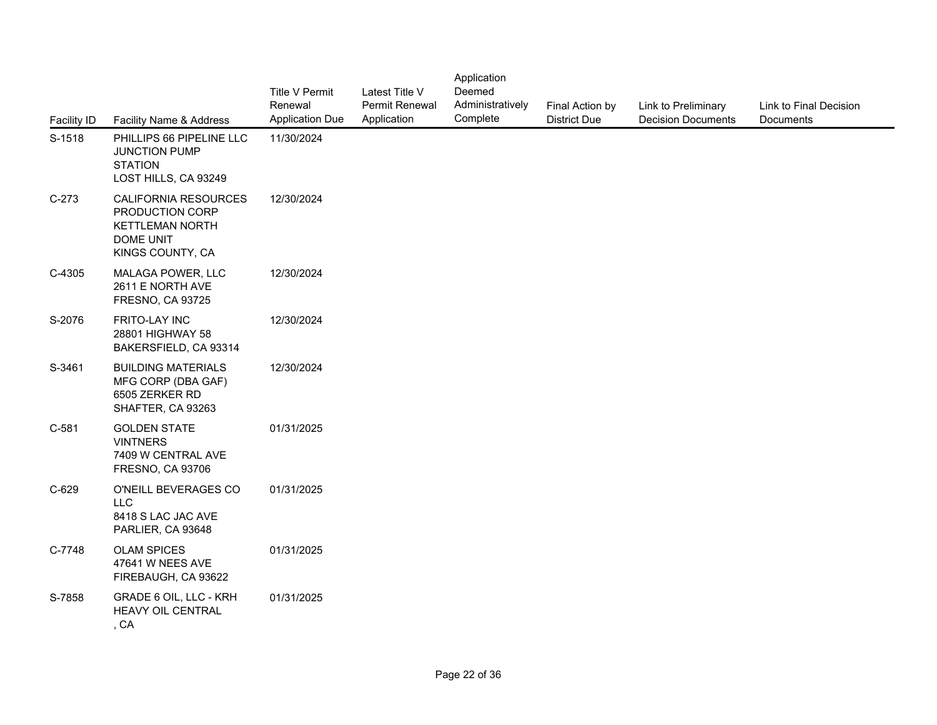| <b>Facility ID</b> | Facility Name & Address                                                                            | <b>Title V Permit</b><br>Renewal<br><b>Application Due</b> | Latest Title V<br>Permit Renewal<br>Application | Application<br>Deemed<br>Administratively<br>Complete | Final Action by<br><b>District Due</b> | Link to Preliminary<br><b>Decision Documents</b> | Link to Final Decision<br>Documents |
|--------------------|----------------------------------------------------------------------------------------------------|------------------------------------------------------------|-------------------------------------------------|-------------------------------------------------------|----------------------------------------|--------------------------------------------------|-------------------------------------|
| S-1518             | PHILLIPS 66 PIPELINE LLC<br>JUNCTION PUMP<br><b>STATION</b><br>LOST HILLS, CA 93249                | 11/30/2024                                                 |                                                 |                                                       |                                        |                                                  |                                     |
| $C-273$            | CALIFORNIA RESOURCES<br>PRODUCTION CORP<br><b>KETTLEMAN NORTH</b><br>DOME UNIT<br>KINGS COUNTY, CA | 12/30/2024                                                 |                                                 |                                                       |                                        |                                                  |                                     |
| C-4305             | MALAGA POWER, LLC<br>2611 E NORTH AVE<br>FRESNO, CA 93725                                          | 12/30/2024                                                 |                                                 |                                                       |                                        |                                                  |                                     |
| S-2076             | FRITO-LAY INC<br>28801 HIGHWAY 58<br>BAKERSFIELD, CA 93314                                         | 12/30/2024                                                 |                                                 |                                                       |                                        |                                                  |                                     |
| S-3461             | <b>BUILDING MATERIALS</b><br>MFG CORP (DBA GAF)<br>6505 ZERKER RD<br>SHAFTER, CA 93263             | 12/30/2024                                                 |                                                 |                                                       |                                        |                                                  |                                     |
| $C-581$            | <b>GOLDEN STATE</b><br><b>VINTNERS</b><br>7409 W CENTRAL AVE<br>FRESNO, CA 93706                   | 01/31/2025                                                 |                                                 |                                                       |                                        |                                                  |                                     |
| $C-629$            | O'NEILL BEVERAGES CO<br><b>LLC</b><br>8418 S LAC JAC AVE<br>PARLIER, CA 93648                      | 01/31/2025                                                 |                                                 |                                                       |                                        |                                                  |                                     |
| C-7748             | <b>OLAM SPICES</b><br>47641 W NEES AVE<br>FIREBAUGH, CA 93622                                      | 01/31/2025                                                 |                                                 |                                                       |                                        |                                                  |                                     |
| S-7858             | GRADE 6 OIL, LLC - KRH<br>HEAVY OIL CENTRAL<br>, CA                                                | 01/31/2025                                                 |                                                 |                                                       |                                        |                                                  |                                     |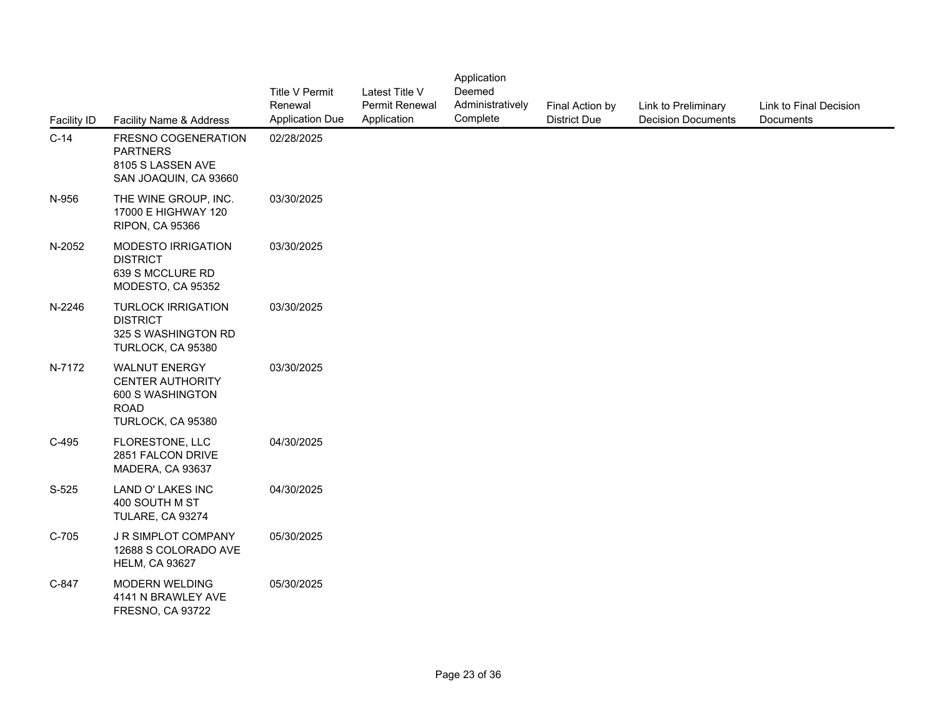| <b>Facility ID</b> | Facility Name & Address                                                                                 | <b>Title V Permit</b><br>Renewal<br><b>Application Due</b> | Latest Title V<br>Permit Renewal<br>Application | Application<br>Deemed<br>Administratively<br>Complete | Final Action by<br><b>District Due</b> | Link to Preliminary<br><b>Decision Documents</b> | Link to Final Decision<br>Documents |
|--------------------|---------------------------------------------------------------------------------------------------------|------------------------------------------------------------|-------------------------------------------------|-------------------------------------------------------|----------------------------------------|--------------------------------------------------|-------------------------------------|
| $C-14$             | FRESNO COGENERATION<br><b>PARTNERS</b><br>8105 S LASSEN AVE<br>SAN JOAQUIN, CA 93660                    | 02/28/2025                                                 |                                                 |                                                       |                                        |                                                  |                                     |
| N-956              | THE WINE GROUP, INC.<br>17000 E HIGHWAY 120<br><b>RIPON, CA 95366</b>                                   | 03/30/2025                                                 |                                                 |                                                       |                                        |                                                  |                                     |
| N-2052             | MODESTO IRRIGATION<br><b>DISTRICT</b><br>639 S MCCLURE RD<br>MODESTO, CA 95352                          | 03/30/2025                                                 |                                                 |                                                       |                                        |                                                  |                                     |
| N-2246             | <b>TURLOCK IRRIGATION</b><br><b>DISTRICT</b><br>325 S WASHINGTON RD<br>TURLOCK, CA 95380                | 03/30/2025                                                 |                                                 |                                                       |                                        |                                                  |                                     |
| N-7172             | <b>WALNUT ENERGY</b><br><b>CENTER AUTHORITY</b><br>600 S WASHINGTON<br><b>ROAD</b><br>TURLOCK, CA 95380 | 03/30/2025                                                 |                                                 |                                                       |                                        |                                                  |                                     |
| $C-495$            | FLORESTONE, LLC<br>2851 FALCON DRIVE<br>MADERA, CA 93637                                                | 04/30/2025                                                 |                                                 |                                                       |                                        |                                                  |                                     |
| S-525              | LAND O' LAKES INC<br>400 SOUTH M ST<br>TULARE, CA 93274                                                 | 04/30/2025                                                 |                                                 |                                                       |                                        |                                                  |                                     |
| $C-705$            | J R SIMPLOT COMPANY<br>12688 S COLORADO AVE<br><b>HELM, CA 93627</b>                                    | 05/30/2025                                                 |                                                 |                                                       |                                        |                                                  |                                     |
| C-847              | MODERN WELDING<br>4141 N BRAWLEY AVE<br><b>FRESNO, CA 93722</b>                                         | 05/30/2025                                                 |                                                 |                                                       |                                        |                                                  |                                     |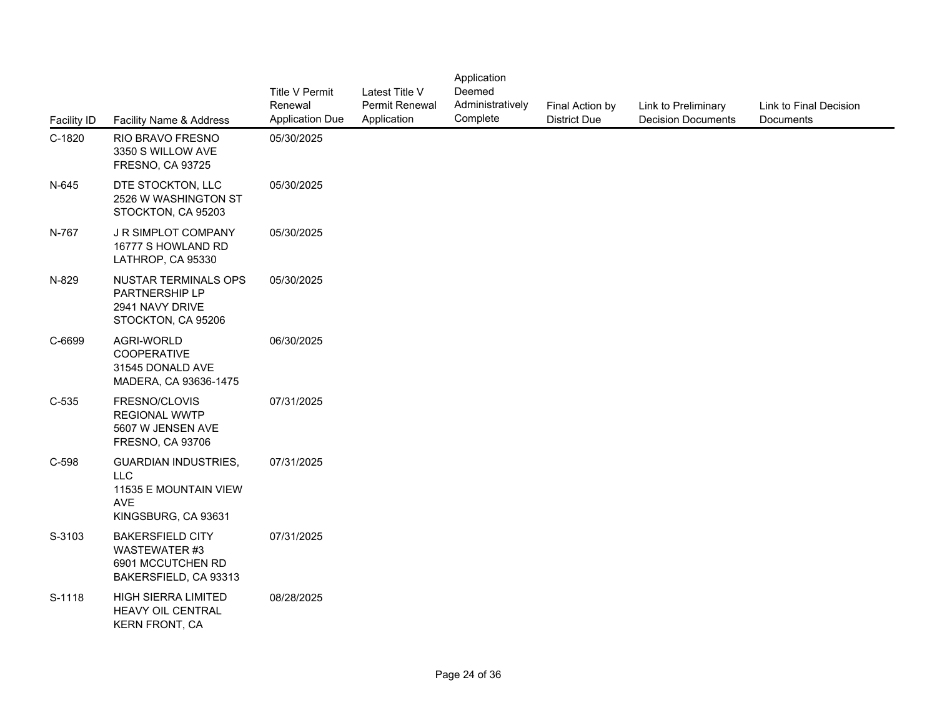| Facility ID | Facility Name & Address                                                                          | <b>Title V Permit</b><br>Renewal<br><b>Application Due</b> | Latest Title V<br>Permit Renewal<br>Application | Application<br>Deemed<br>Administratively<br>Complete | Final Action by<br><b>District Due</b> | Link to Preliminary<br><b>Decision Documents</b> | Link to Final Decision<br>Documents |
|-------------|--------------------------------------------------------------------------------------------------|------------------------------------------------------------|-------------------------------------------------|-------------------------------------------------------|----------------------------------------|--------------------------------------------------|-------------------------------------|
| C-1820      | RIO BRAVO FRESNO<br>3350 S WILLOW AVE<br><b>FRESNO, CA 93725</b>                                 | 05/30/2025                                                 |                                                 |                                                       |                                        |                                                  |                                     |
| N-645       | DTE STOCKTON, LLC<br>2526 W WASHINGTON ST<br>STOCKTON, CA 95203                                  | 05/30/2025                                                 |                                                 |                                                       |                                        |                                                  |                                     |
| N-767       | J R SIMPLOT COMPANY<br>16777 S HOWLAND RD<br>LATHROP, CA 95330                                   | 05/30/2025                                                 |                                                 |                                                       |                                        |                                                  |                                     |
| N-829       | <b>NUSTAR TERMINALS OPS</b><br>PARTNERSHIP LP<br>2941 NAVY DRIVE<br>STOCKTON, CA 95206           | 05/30/2025                                                 |                                                 |                                                       |                                        |                                                  |                                     |
| C-6699      | AGRI-WORLD<br><b>COOPERATIVE</b><br>31545 DONALD AVE<br>MADERA, CA 93636-1475                    | 06/30/2025                                                 |                                                 |                                                       |                                        |                                                  |                                     |
| $C-535$     | FRESNO/CLOVIS<br><b>REGIONAL WWTP</b><br>5607 W JENSEN AVE<br>FRESNO, CA 93706                   | 07/31/2025                                                 |                                                 |                                                       |                                        |                                                  |                                     |
| C-598       | <b>GUARDIAN INDUSTRIES,</b><br><b>LLC</b><br>11535 E MOUNTAIN VIEW<br>AVE<br>KINGSBURG, CA 93631 | 07/31/2025                                                 |                                                 |                                                       |                                        |                                                  |                                     |
| S-3103      | <b>BAKERSFIELD CITY</b><br><b>WASTEWATER #3</b><br>6901 MCCUTCHEN RD<br>BAKERSFIELD, CA 93313    | 07/31/2025                                                 |                                                 |                                                       |                                        |                                                  |                                     |
| S-1118      | HIGH SIERRA LIMITED<br>HEAVY OIL CENTRAL<br><b>KERN FRONT, CA</b>                                | 08/28/2025                                                 |                                                 |                                                       |                                        |                                                  |                                     |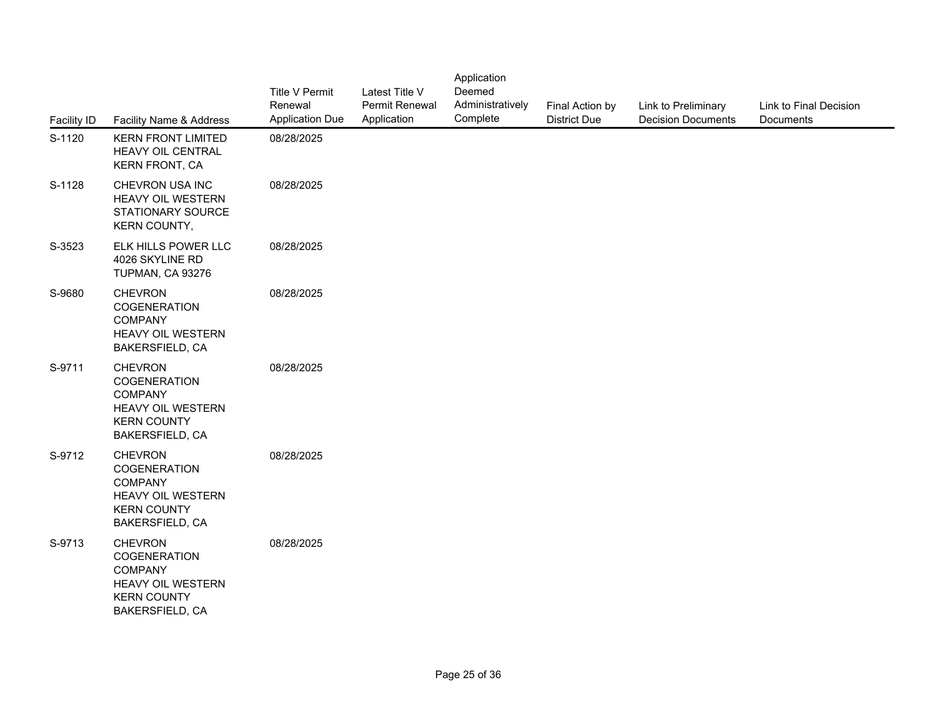| <b>Facility ID</b> | Facility Name & Address                                                                                               | Title V Permit<br>Renewal<br><b>Application Due</b> | Latest Title V<br>Permit Renewal<br>Application | Application<br>Deemed<br>Administratively<br>Complete | Final Action by<br><b>District Due</b> | Link to Preliminary<br><b>Decision Documents</b> | Link to Final Decision<br>Documents |
|--------------------|-----------------------------------------------------------------------------------------------------------------------|-----------------------------------------------------|-------------------------------------------------|-------------------------------------------------------|----------------------------------------|--------------------------------------------------|-------------------------------------|
| S-1120             | <b>KERN FRONT LIMITED</b><br>HEAVY OIL CENTRAL<br><b>KERN FRONT, CA</b>                                               | 08/28/2025                                          |                                                 |                                                       |                                        |                                                  |                                     |
| S-1128             | CHEVRON USA INC<br>HEAVY OIL WESTERN<br>STATIONARY SOURCE<br>KERN COUNTY,                                             | 08/28/2025                                          |                                                 |                                                       |                                        |                                                  |                                     |
| S-3523             | ELK HILLS POWER LLC<br>4026 SKYLINE RD<br>TUPMAN, CA 93276                                                            | 08/28/2025                                          |                                                 |                                                       |                                        |                                                  |                                     |
| S-9680             | <b>CHEVRON</b><br>COGENERATION<br><b>COMPANY</b><br>HEAVY OIL WESTERN<br>BAKERSFIELD, CA                              | 08/28/2025                                          |                                                 |                                                       |                                        |                                                  |                                     |
| S-9711             | <b>CHEVRON</b><br><b>COGENERATION</b><br><b>COMPANY</b><br>HEAVY OIL WESTERN<br><b>KERN COUNTY</b><br>BAKERSFIELD, CA | 08/28/2025                                          |                                                 |                                                       |                                        |                                                  |                                     |
| S-9712             | <b>CHEVRON</b><br>COGENERATION<br><b>COMPANY</b><br>HEAVY OIL WESTERN<br><b>KERN COUNTY</b><br>BAKERSFIELD, CA        | 08/28/2025                                          |                                                 |                                                       |                                        |                                                  |                                     |
| S-9713             | <b>CHEVRON</b><br>COGENERATION<br><b>COMPANY</b><br>HEAVY OIL WESTERN<br><b>KERN COUNTY</b><br>BAKERSFIELD, CA        | 08/28/2025                                          |                                                 |                                                       |                                        |                                                  |                                     |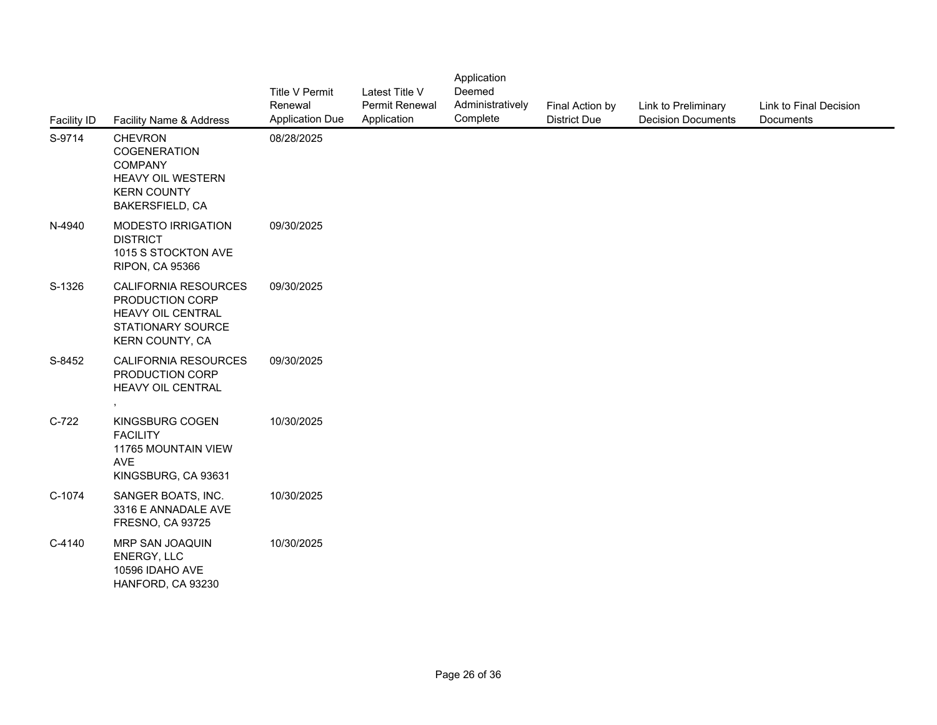| Facility ID | Facility Name & Address                                                                                                      | <b>Title V Permit</b><br>Renewal<br><b>Application Due</b> | Latest Title V<br>Permit Renewal<br>Application | Application<br>Deemed<br>Administratively<br>Complete | Final Action by<br><b>District Due</b> | Link to Preliminary<br><b>Decision Documents</b> | Link to Final Decision<br>Documents |
|-------------|------------------------------------------------------------------------------------------------------------------------------|------------------------------------------------------------|-------------------------------------------------|-------------------------------------------------------|----------------------------------------|--------------------------------------------------|-------------------------------------|
| S-9714      | <b>CHEVRON</b><br>COGENERATION<br><b>COMPANY</b><br><b>HEAVY OIL WESTERN</b><br><b>KERN COUNTY</b><br><b>BAKERSFIELD, CA</b> | 08/28/2025                                                 |                                                 |                                                       |                                        |                                                  |                                     |
| N-4940      | <b>MODESTO IRRIGATION</b><br><b>DISTRICT</b><br>1015 S STOCKTON AVE<br><b>RIPON, CA 95366</b>                                | 09/30/2025                                                 |                                                 |                                                       |                                        |                                                  |                                     |
| S-1326      | CALIFORNIA RESOURCES<br>PRODUCTION CORP<br><b>HEAVY OIL CENTRAL</b><br>STATIONARY SOURCE<br>KERN COUNTY, CA                  | 09/30/2025                                                 |                                                 |                                                       |                                        |                                                  |                                     |
| S-8452      | CALIFORNIA RESOURCES<br>PRODUCTION CORP<br>HEAVY OIL CENTRAL<br>$\bullet$                                                    | 09/30/2025                                                 |                                                 |                                                       |                                        |                                                  |                                     |
| $C-722$     | KINGSBURG COGEN<br><b>FACILITY</b><br>11765 MOUNTAIN VIEW<br><b>AVE</b><br>KINGSBURG, CA 93631                               | 10/30/2025                                                 |                                                 |                                                       |                                        |                                                  |                                     |
| C-1074      | SANGER BOATS, INC.<br>3316 E ANNADALE AVE<br><b>FRESNO, CA 93725</b>                                                         | 10/30/2025                                                 |                                                 |                                                       |                                        |                                                  |                                     |
| C-4140      | MRP SAN JOAQUIN<br>ENERGY, LLC<br>10596 IDAHO AVE<br>HANFORD, CA 93230                                                       | 10/30/2025                                                 |                                                 |                                                       |                                        |                                                  |                                     |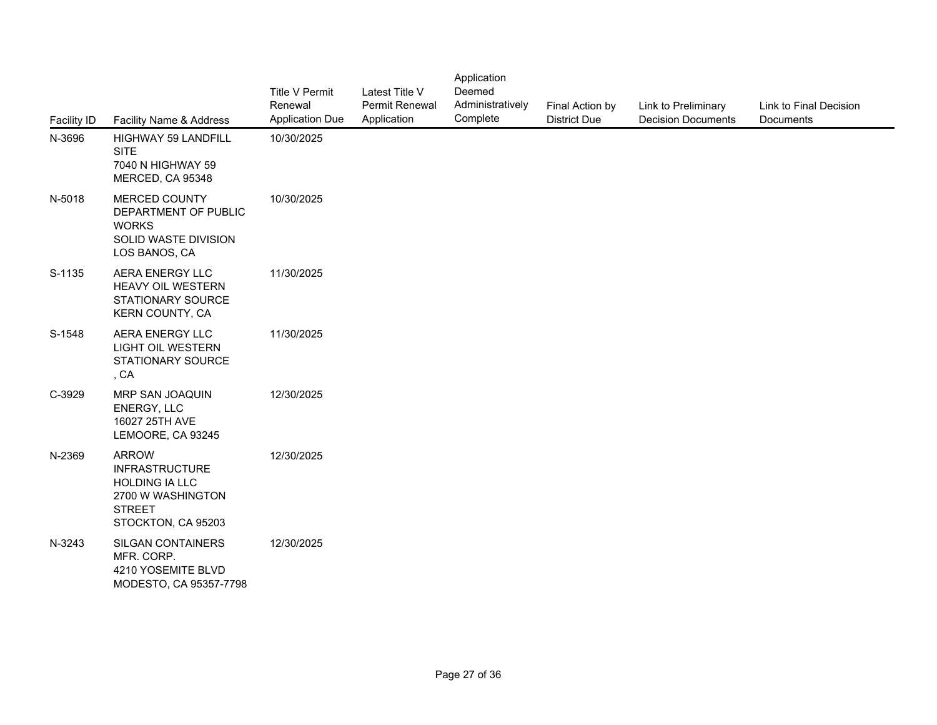| Facility ID | Facility Name & Address                                                                                                    | <b>Title V Permit</b><br>Renewal<br><b>Application Due</b> | Latest Title V<br>Permit Renewal<br>Application | Application<br>Deemed<br>Administratively<br>Complete | Final Action by<br><b>District Due</b> | Link to Preliminary<br><b>Decision Documents</b> | Link to Final Decision<br>Documents |
|-------------|----------------------------------------------------------------------------------------------------------------------------|------------------------------------------------------------|-------------------------------------------------|-------------------------------------------------------|----------------------------------------|--------------------------------------------------|-------------------------------------|
| N-3696      | <b>HIGHWAY 59 LANDFILL</b><br><b>SITE</b><br>7040 N HIGHWAY 59<br>MERCED, CA 95348                                         | 10/30/2025                                                 |                                                 |                                                       |                                        |                                                  |                                     |
| N-5018      | MERCED COUNTY<br>DEPARTMENT OF PUBLIC<br><b>WORKS</b><br>SOLID WASTE DIVISION<br>LOS BANOS, CA                             | 10/30/2025                                                 |                                                 |                                                       |                                        |                                                  |                                     |
| S-1135      | AERA ENERGY LLC<br><b>HEAVY OIL WESTERN</b><br><b>STATIONARY SOURCE</b><br>KERN COUNTY, CA                                 | 11/30/2025                                                 |                                                 |                                                       |                                        |                                                  |                                     |
| S-1548      | AERA ENERGY LLC<br><b>LIGHT OIL WESTERN</b><br>STATIONARY SOURCE<br>, CA                                                   | 11/30/2025                                                 |                                                 |                                                       |                                        |                                                  |                                     |
| C-3929      | MRP SAN JOAQUIN<br>ENERGY, LLC<br>16027 25TH AVE<br>LEMOORE, CA 93245                                                      | 12/30/2025                                                 |                                                 |                                                       |                                        |                                                  |                                     |
| N-2369      | <b>ARROW</b><br><b>INFRASTRUCTURE</b><br><b>HOLDING IA LLC</b><br>2700 W WASHINGTON<br><b>STREET</b><br>STOCKTON, CA 95203 | 12/30/2025                                                 |                                                 |                                                       |                                        |                                                  |                                     |
| N-3243      | SILGAN CONTAINERS<br>MFR. CORP.<br>4210 YOSEMITE BLVD<br>MODESTO, CA 95357-7798                                            | 12/30/2025                                                 |                                                 |                                                       |                                        |                                                  |                                     |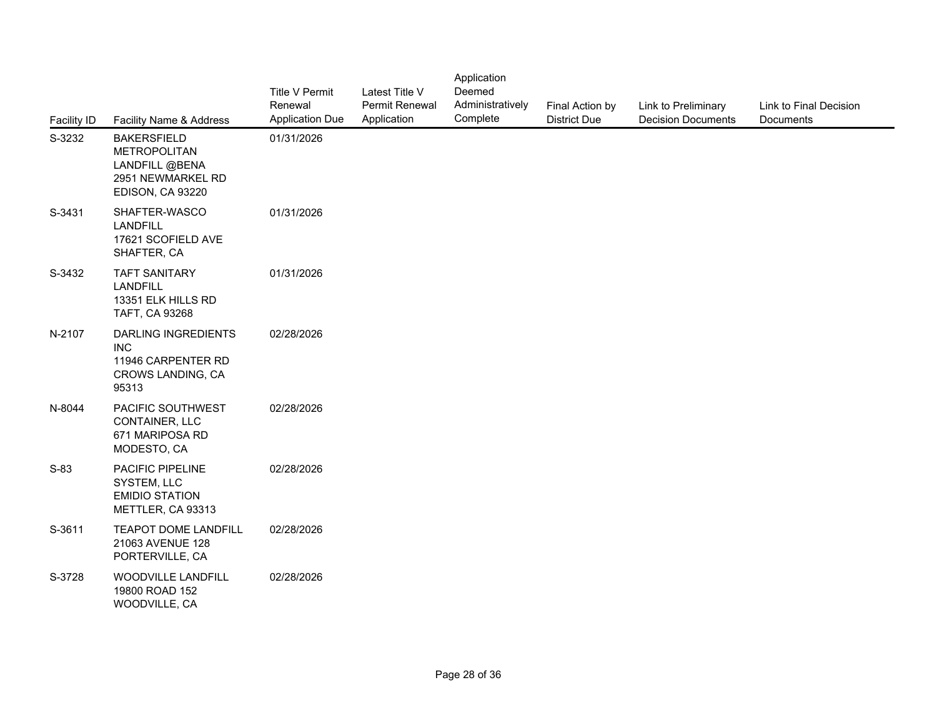| Facility ID | Facility Name & Address                                                                              | Title V Permit<br>Renewal<br><b>Application Due</b> | Latest Title V<br>Permit Renewal<br>Application | Application<br>Deemed<br>Administratively<br>Complete | Final Action by<br><b>District Due</b> | Link to Preliminary<br><b>Decision Documents</b> | Link to Final Decision<br>Documents |
|-------------|------------------------------------------------------------------------------------------------------|-----------------------------------------------------|-------------------------------------------------|-------------------------------------------------------|----------------------------------------|--------------------------------------------------|-------------------------------------|
| S-3232      | <b>BAKERSFIELD</b><br><b>METROPOLITAN</b><br>LANDFILL @BENA<br>2951 NEWMARKEL RD<br>EDISON, CA 93220 | 01/31/2026                                          |                                                 |                                                       |                                        |                                                  |                                     |
| S-3431      | SHAFTER-WASCO<br><b>LANDFILL</b><br>17621 SCOFIELD AVE<br>SHAFTER, CA                                | 01/31/2026                                          |                                                 |                                                       |                                        |                                                  |                                     |
| S-3432      | <b>TAFT SANITARY</b><br><b>LANDFILL</b><br>13351 ELK HILLS RD<br>TAFT, CA 93268                      | 01/31/2026                                          |                                                 |                                                       |                                        |                                                  |                                     |
| N-2107      | DARLING INGREDIENTS<br><b>INC</b><br>11946 CARPENTER RD<br>CROWS LANDING, CA<br>95313                | 02/28/2026                                          |                                                 |                                                       |                                        |                                                  |                                     |
| N-8044      | PACIFIC SOUTHWEST<br>CONTAINER, LLC<br>671 MARIPOSA RD<br>MODESTO, CA                                | 02/28/2026                                          |                                                 |                                                       |                                        |                                                  |                                     |
| $S-83$      | PACIFIC PIPELINE<br>SYSTEM, LLC<br><b>EMIDIO STATION</b><br>METTLER, CA 93313                        | 02/28/2026                                          |                                                 |                                                       |                                        |                                                  |                                     |
| S-3611      | <b>TEAPOT DOME LANDFILL</b><br>21063 AVENUE 128<br>PORTERVILLE, CA                                   | 02/28/2026                                          |                                                 |                                                       |                                        |                                                  |                                     |
| S-3728      | WOODVILLE LANDFILL<br>19800 ROAD 152<br>WOODVILLE, CA                                                | 02/28/2026                                          |                                                 |                                                       |                                        |                                                  |                                     |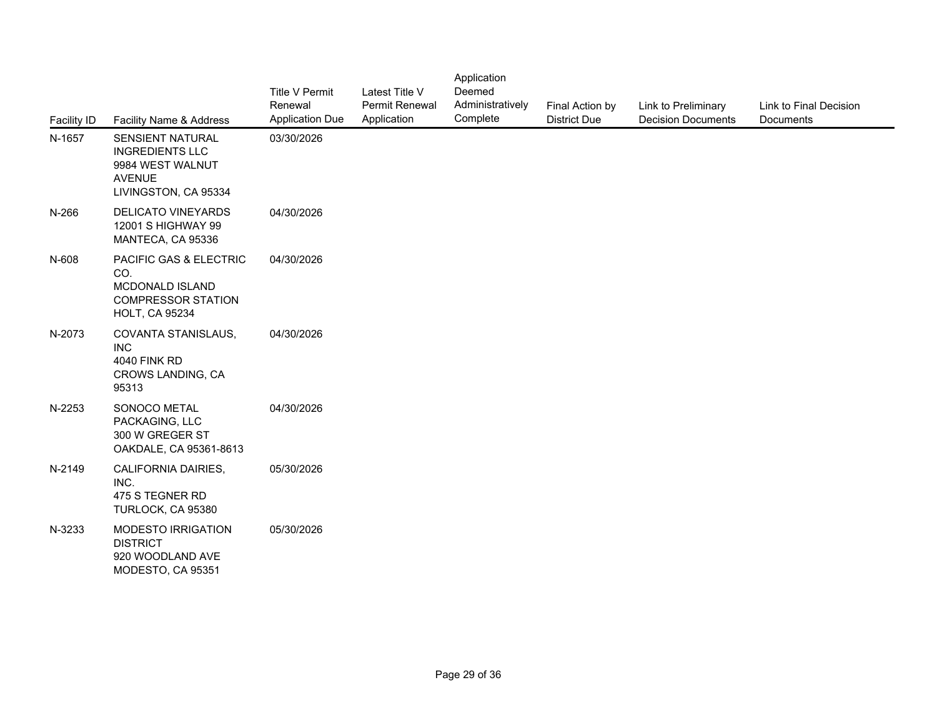| Facility ID | Facility Name & Address                                                                                 | <b>Title V Permit</b><br>Renewal<br><b>Application Due</b> | Latest Title V<br>Permit Renewal<br>Application | Application<br>Deemed<br>Administratively<br>Complete | Final Action by<br><b>District Due</b> | Link to Preliminary<br><b>Decision Documents</b> | Link to Final Decision<br>Documents |
|-------------|---------------------------------------------------------------------------------------------------------|------------------------------------------------------------|-------------------------------------------------|-------------------------------------------------------|----------------------------------------|--------------------------------------------------|-------------------------------------|
| N-1657      | SENSIENT NATURAL<br><b>INGREDIENTS LLC</b><br>9984 WEST WALNUT<br><b>AVENUE</b><br>LIVINGSTON, CA 95334 | 03/30/2026                                                 |                                                 |                                                       |                                        |                                                  |                                     |
| N-266       | DELICATO VINEYARDS<br>12001 S HIGHWAY 99<br>MANTECA, CA 95336                                           | 04/30/2026                                                 |                                                 |                                                       |                                        |                                                  |                                     |
| N-608       | PACIFIC GAS & ELECTRIC<br>CO.<br>MCDONALD ISLAND<br><b>COMPRESSOR STATION</b><br><b>HOLT, CA 95234</b>  | 04/30/2026                                                 |                                                 |                                                       |                                        |                                                  |                                     |
| N-2073      | COVANTA STANISLAUS,<br><b>INC</b><br><b>4040 FINK RD</b><br>CROWS LANDING, CA<br>95313                  | 04/30/2026                                                 |                                                 |                                                       |                                        |                                                  |                                     |
| N-2253      | SONOCO METAL<br>PACKAGING, LLC<br>300 W GREGER ST<br>OAKDALE, CA 95361-8613                             | 04/30/2026                                                 |                                                 |                                                       |                                        |                                                  |                                     |
| N-2149      | CALIFORNIA DAIRIES,<br>INC.<br>475 S TEGNER RD<br>TURLOCK, CA 95380                                     | 05/30/2026                                                 |                                                 |                                                       |                                        |                                                  |                                     |
| N-3233      | MODESTO IRRIGATION<br><b>DISTRICT</b><br>920 WOODLAND AVE<br>MODESTO, CA 95351                          | 05/30/2026                                                 |                                                 |                                                       |                                        |                                                  |                                     |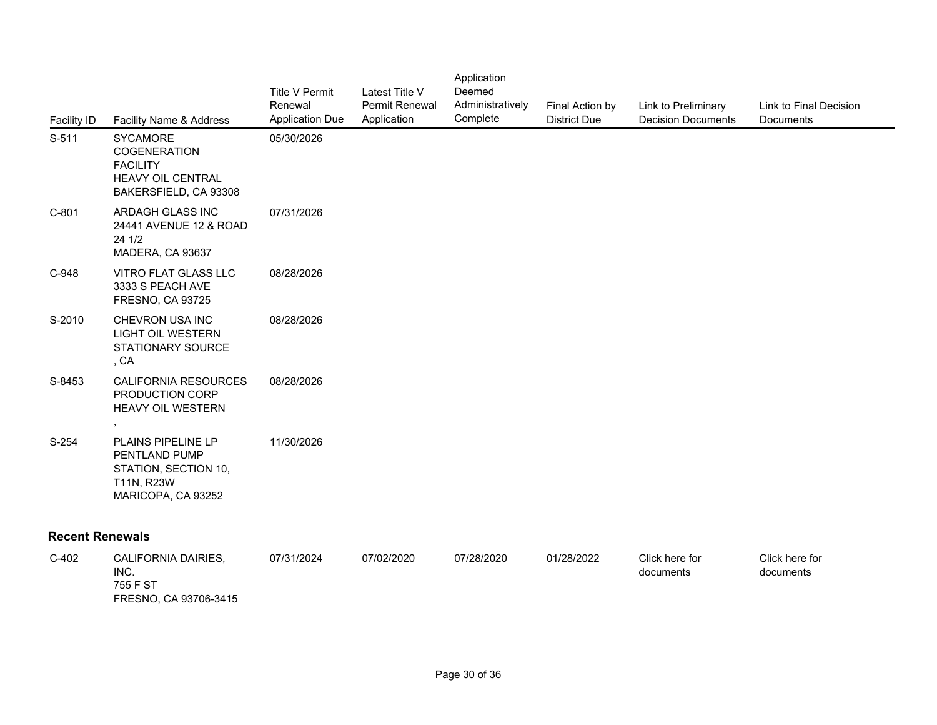| <b>Facility ID</b>     | Facility Name & Address                                                                                        | <b>Title V Permit</b><br>Renewal<br><b>Application Due</b> | Latest Title V<br><b>Permit Renewal</b><br>Application | Application<br>Deemed<br>Administratively<br>Complete | Final Action by<br><b>District Due</b> | Link to Preliminary<br><b>Decision Documer</b> |
|------------------------|----------------------------------------------------------------------------------------------------------------|------------------------------------------------------------|--------------------------------------------------------|-------------------------------------------------------|----------------------------------------|------------------------------------------------|
| S-511                  | <b>SYCAMORE</b><br><b>COGENERATION</b><br><b>FACILITY</b><br><b>HEAVY OIL CENTRAL</b><br>BAKERSFIELD, CA 93308 | 05/30/2026                                                 |                                                        |                                                       |                                        |                                                |
| $C-801$                | ARDAGH GLASS INC<br>24441 AVENUE 12 & ROAD<br>24 1/2<br>MADERA, CA 93637                                       | 07/31/2026                                                 |                                                        |                                                       |                                        |                                                |
| C-948                  | VITRO FLAT GLASS LLC<br>3333 S PEACH AVE<br><b>FRESNO, CA 93725</b>                                            | 08/28/2026                                                 |                                                        |                                                       |                                        |                                                |
| S-2010                 | CHEVRON USA INC<br>LIGHT OIL WESTERN<br><b>STATIONARY SOURCE</b><br>, CA                                       | 08/28/2026                                                 |                                                        |                                                       |                                        |                                                |
| S-8453                 | <b>CALIFORNIA RESOURCES</b><br>PRODUCTION CORP<br>HEAVY OIL WESTERN<br>$\,$                                    | 08/28/2026                                                 |                                                        |                                                       |                                        |                                                |
| $S-254$                | <b>PLAINS PIPELINE LP</b><br>PENTLAND PUMP<br>STATION, SECTION 10,<br>T11N, R23W<br>MARICOPA, CA 93252         | 11/30/2026                                                 |                                                        |                                                       |                                        |                                                |
| <b>Recent Renewals</b> |                                                                                                                |                                                            |                                                        |                                                       |                                        |                                                |
| $C-402$                | CALIFORNIA DAIRIES,<br>INC.<br>755 F ST<br>FRESNO, CA 93706-3415                                               | 07/31/2024                                                 | 07/02/2020                                             | 07/28/2020                                            | 01/28/2022                             | Click here for<br>documents                    |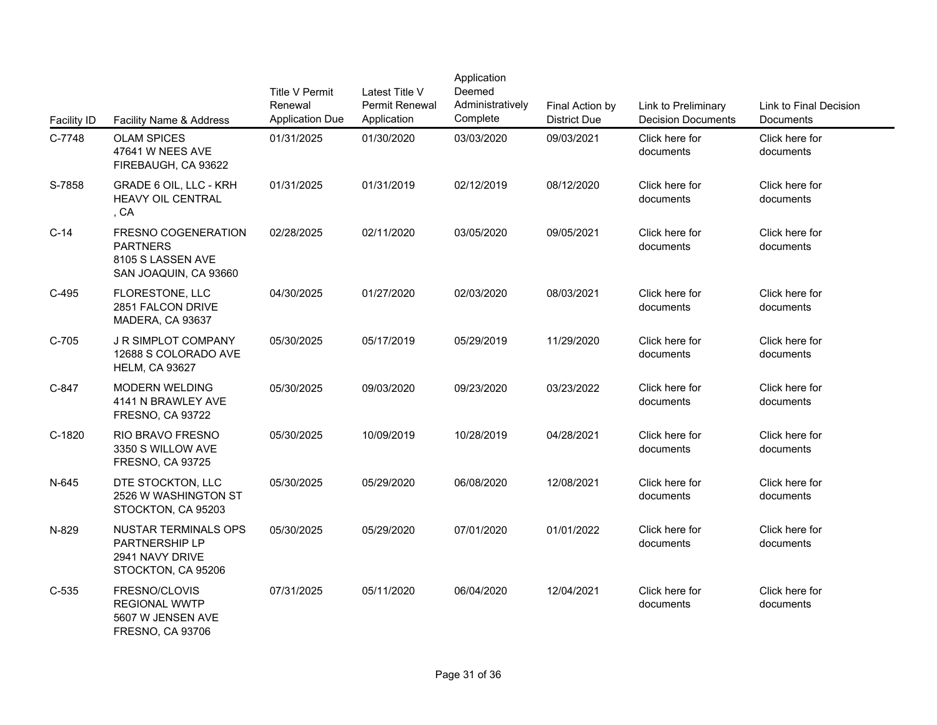| <b>Facility ID</b> | Facility Name & Address                                                                | <b>Title V Permit</b><br>Renewal<br><b>Application Due</b> | Latest Title V<br><b>Permit Renewal</b><br>Application | Application<br>Deemed<br>Administratively<br>Complete | Final Action by<br><b>District Due</b> | Link to Preliminary<br><b>Decision Documer</b> |
|--------------------|----------------------------------------------------------------------------------------|------------------------------------------------------------|--------------------------------------------------------|-------------------------------------------------------|----------------------------------------|------------------------------------------------|
| C-7748             | <b>OLAM SPICES</b><br>47641 W NEES AVE<br>FIREBAUGH, CA 93622                          | 01/31/2025                                                 | 01/30/2020                                             | 03/03/2020                                            | 09/03/2021                             | Click here for<br>documents                    |
| S-7858             | GRADE 6 OIL, LLC - KRH<br><b>HEAVY OIL CENTRAL</b><br>, CA                             | 01/31/2025                                                 | 01/31/2019                                             | 02/12/2019                                            | 08/12/2020                             | Click here for<br>documents                    |
| $C-14$             | FRESNO COGENERATION<br><b>PARTNERS</b><br>8105 S LASSEN AVE<br>SAN JOAQUIN, CA 93660   | 02/28/2025                                                 | 02/11/2020                                             | 03/05/2020                                            | 09/05/2021                             | Click here for<br>documents                    |
| $C-495$            | FLORESTONE, LLC<br>2851 FALCON DRIVE<br>MADERA, CA 93637                               | 04/30/2025                                                 | 01/27/2020                                             | 02/03/2020                                            | 08/03/2021                             | Click here for<br>documents                    |
| $C-705$            | <b>J R SIMPLOT COMPANY</b><br>12688 S COLORADO AVE<br><b>HELM, CA 93627</b>            | 05/30/2025                                                 | 05/17/2019                                             | 05/29/2019                                            | 11/29/2020                             | Click here for<br>documents                    |
| C-847              | <b>MODERN WELDING</b><br>4141 N BRAWLEY AVE<br><b>FRESNO, CA 93722</b>                 | 05/30/2025                                                 | 09/03/2020                                             | 09/23/2020                                            | 03/23/2022                             | Click here for<br>documents                    |
| C-1820             | RIO BRAVO FRESNO<br>3350 S WILLOW AVE<br><b>FRESNO, CA 93725</b>                       | 05/30/2025                                                 | 10/09/2019                                             | 10/28/2019                                            | 04/28/2021                             | Click here for<br>documents                    |
| N-645              | DTE STOCKTON, LLC<br>2526 W WASHINGTON ST<br>STOCKTON, CA 95203                        | 05/30/2025                                                 | 05/29/2020                                             | 06/08/2020                                            | 12/08/2021                             | Click here for<br>documents                    |
| N-829              | <b>NUSTAR TERMINALS OPS</b><br>PARTNERSHIP LP<br>2941 NAVY DRIVE<br>STOCKTON, CA 95206 | 05/30/2025                                                 | 05/29/2020                                             | 07/01/2020                                            | 01/01/2022                             | Click here for<br>documents                    |
| $C-535$            | FRESNO/CLOVIS<br><b>REGIONAL WWTP</b><br>5607 W JENSEN AVE<br><b>FRESNO, CA 93706</b>  | 07/31/2025                                                 | 05/11/2020                                             | 06/04/2020                                            | 12/04/2021                             | Click here for<br>documents                    |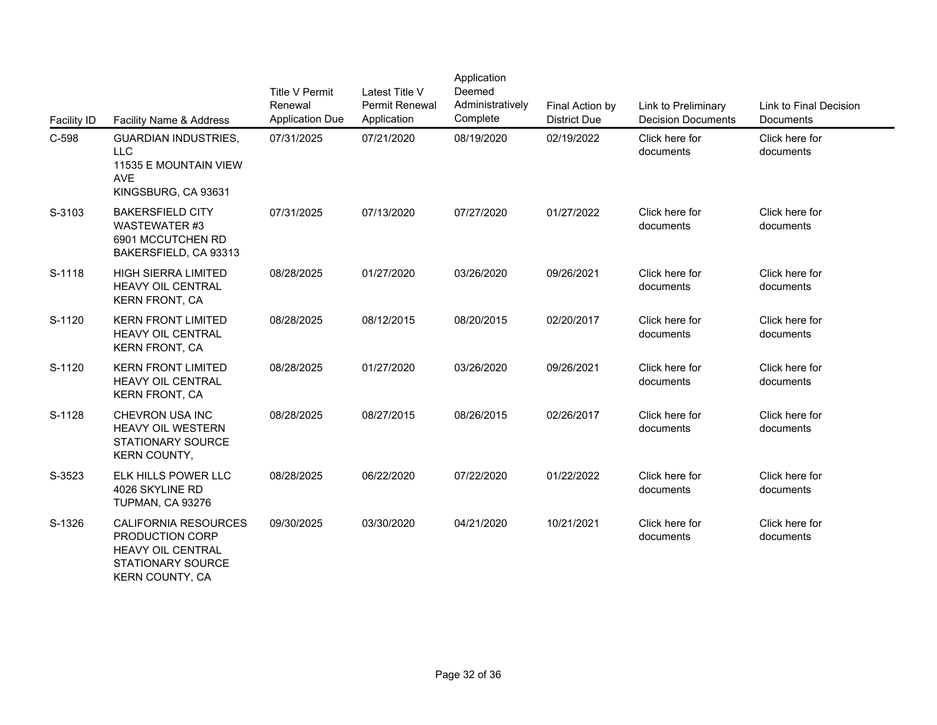| Facility ID | Facility Name & Address                                                                                                   | <b>Title V Permit</b><br>Renewal<br><b>Application Due</b> | Latest Title V<br>Permit Renewal<br>Application | Application<br>Deemed<br>Administratively<br>Complete | Final Action by<br><b>District Due</b> | Link to Preliminary<br><b>Decision Documer</b> |
|-------------|---------------------------------------------------------------------------------------------------------------------------|------------------------------------------------------------|-------------------------------------------------|-------------------------------------------------------|----------------------------------------|------------------------------------------------|
| C-598       | <b>GUARDIAN INDUSTRIES,</b><br><b>LLC</b><br>11535 E MOUNTAIN VIEW<br><b>AVE</b><br>KINGSBURG, CA 93631                   | 07/31/2025                                                 | 07/21/2020                                      | 08/19/2020                                            | 02/19/2022                             | Click here for<br>documents                    |
| S-3103      | <b>BAKERSFIELD CITY</b><br><b>WASTEWATER #3</b><br>6901 MCCUTCHEN RD<br>BAKERSFIELD, CA 93313                             | 07/31/2025                                                 | 07/13/2020                                      | 07/27/2020                                            | 01/27/2022                             | Click here for<br>documents                    |
| S-1118      | <b>HIGH SIERRA LIMITED</b><br><b>HEAVY OIL CENTRAL</b><br><b>KERN FRONT, CA</b>                                           | 08/28/2025                                                 | 01/27/2020                                      | 03/26/2020                                            | 09/26/2021                             | Click here for<br>documents                    |
| S-1120      | <b>KERN FRONT LIMITED</b><br><b>HEAVY OIL CENTRAL</b><br><b>KERN FRONT, CA</b>                                            | 08/28/2025                                                 | 08/12/2015                                      | 08/20/2015                                            | 02/20/2017                             | Click here for<br>documents                    |
| S-1120      | <b>KERN FRONT LIMITED</b><br>HEAVY OIL CENTRAL<br><b>KERN FRONT, CA</b>                                                   | 08/28/2025                                                 | 01/27/2020                                      | 03/26/2020                                            | 09/26/2021                             | Click here for<br>documents                    |
| S-1128      | CHEVRON USA INC<br>HEAVY OIL WESTERN<br><b>STATIONARY SOURCE</b><br>KERN COUNTY,                                          | 08/28/2025                                                 | 08/27/2015                                      | 08/26/2015                                            | 02/26/2017                             | Click here for<br>documents                    |
| S-3523      | ELK HILLS POWER LLC<br>4026 SKYLINE RD<br>TUPMAN, CA 93276                                                                | 08/28/2025                                                 | 06/22/2020                                      | 07/22/2020                                            | 01/22/2022                             | Click here for<br>documents                    |
| S-1326      | CALIFORNIA RESOURCES<br>PRODUCTION CORP<br><b>HEAVY OIL CENTRAL</b><br><b>STATIONARY SOURCE</b><br><b>KERN COUNTY, CA</b> | 09/30/2025                                                 | 03/30/2020                                      | 04/21/2020                                            | 10/21/2021                             | Click here for<br>documents                    |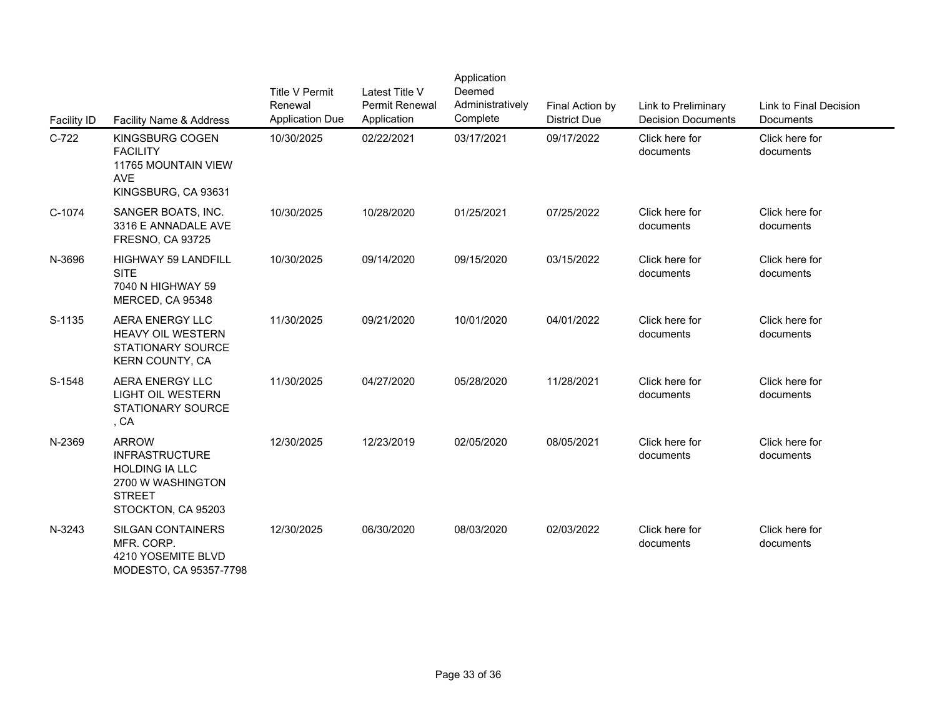| <b>Facility ID</b> | Facility Name & Address                                                                                                    | <b>Title V Permit</b><br>Renewal<br><b>Application Due</b> | Latest Title V<br>Permit Renewal<br>Application | Application<br>Deemed<br>Administratively<br>Complete | Final Action by<br><b>District Due</b> | Link to Preliminary<br><b>Decision Documer</b> |
|--------------------|----------------------------------------------------------------------------------------------------------------------------|------------------------------------------------------------|-------------------------------------------------|-------------------------------------------------------|----------------------------------------|------------------------------------------------|
| $C-722$            | <b>KINGSBURG COGEN</b><br><b>FACILITY</b><br>11765 MOUNTAIN VIEW<br><b>AVE</b><br>KINGSBURG, CA 93631                      | 10/30/2025                                                 | 02/22/2021                                      | 03/17/2021                                            | 09/17/2022                             | Click here for<br>documents                    |
| C-1074             | SANGER BOATS, INC.<br>3316 E ANNADALE AVE<br><b>FRESNO, CA 93725</b>                                                       | 10/30/2025                                                 | 10/28/2020                                      | 01/25/2021                                            | 07/25/2022                             | Click here for<br>documents                    |
| N-3696             | <b>HIGHWAY 59 LANDFILL</b><br><b>SITE</b><br>7040 N HIGHWAY 59<br>MERCED, CA 95348                                         | 10/30/2025                                                 | 09/14/2020                                      | 09/15/2020                                            | 03/15/2022                             | Click here for<br>documents                    |
| S-1135             | AERA ENERGY LLC<br><b>HEAVY OIL WESTERN</b><br><b>STATIONARY SOURCE</b><br><b>KERN COUNTY, CA</b>                          | 11/30/2025                                                 | 09/21/2020                                      | 10/01/2020                                            | 04/01/2022                             | Click here for<br>documents                    |
| S-1548             | <b>AERA ENERGY LLC</b><br><b>LIGHT OIL WESTERN</b><br>STATIONARY SOURCE<br>, CA                                            | 11/30/2025                                                 | 04/27/2020                                      | 05/28/2020                                            | 11/28/2021                             | Click here for<br>documents                    |
| N-2369             | <b>ARROW</b><br><b>INFRASTRUCTURE</b><br><b>HOLDING IA LLC</b><br>2700 W WASHINGTON<br><b>STREET</b><br>STOCKTON, CA 95203 | 12/30/2025                                                 | 12/23/2019                                      | 02/05/2020                                            | 08/05/2021                             | Click here for<br>documents                    |
| N-3243             | <b>SILGAN CONTAINERS</b><br>MFR. CORP.<br>4210 YOSEMITE BLVD<br>MODESTO, CA 95357-7798                                     | 12/30/2025                                                 | 06/30/2020                                      | 08/03/2020                                            | 02/03/2022                             | Click here for<br>documents                    |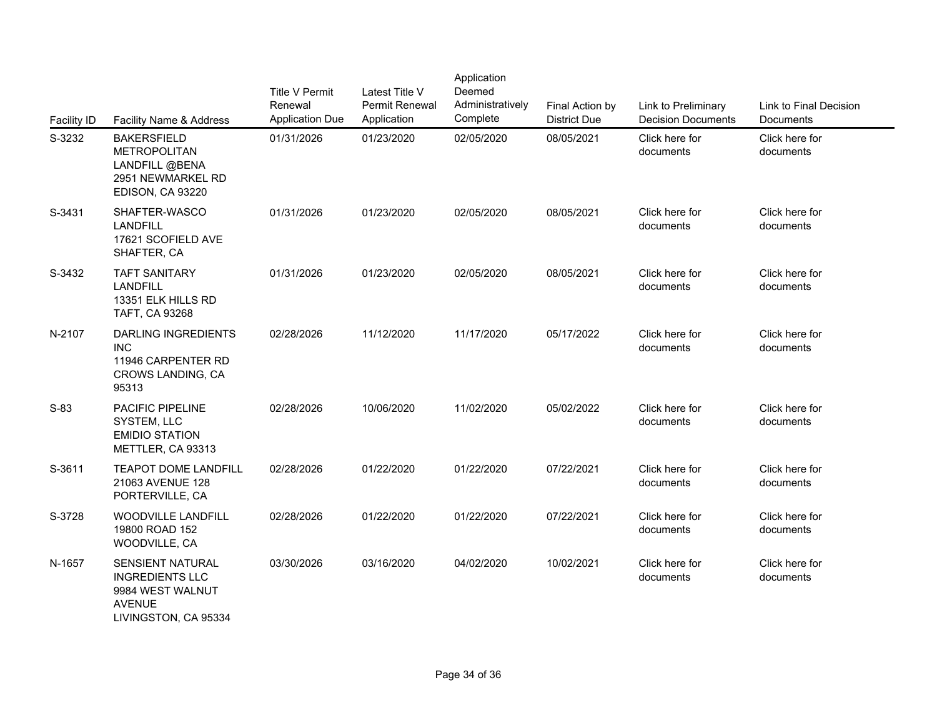| Facility ID | Facility Name & Address                                                                                 | <b>Title V Permit</b><br>Renewal<br><b>Application Due</b> | Latest Title V<br>Permit Renewal<br>Application | Application<br>Deemed<br>Administratively<br>Complete | Final Action by<br><b>District Due</b> | Link to Preliminary<br><b>Decision Documer</b> |
|-------------|---------------------------------------------------------------------------------------------------------|------------------------------------------------------------|-------------------------------------------------|-------------------------------------------------------|----------------------------------------|------------------------------------------------|
| S-3232      | <b>BAKERSFIELD</b><br><b>METROPOLITAN</b><br>LANDFILL @BENA<br>2951 NEWMARKEL RD<br>EDISON, CA 93220    | 01/31/2026                                                 | 01/23/2020                                      | 02/05/2020                                            | 08/05/2021                             | Click here for<br>documents                    |
| S-3431      | SHAFTER-WASCO<br><b>LANDFILL</b><br>17621 SCOFIELD AVE<br>SHAFTER, CA                                   | 01/31/2026                                                 | 01/23/2020                                      | 02/05/2020                                            | 08/05/2021                             | Click here for<br>documents                    |
| S-3432      | <b>TAFT SANITARY</b><br><b>LANDFILL</b><br>13351 ELK HILLS RD<br>TAFT, CA 93268                         | 01/31/2026                                                 | 01/23/2020                                      | 02/05/2020                                            | 08/05/2021                             | Click here for<br>documents                    |
| N-2107      | <b>DARLING INGREDIENTS</b><br><b>INC</b><br>11946 CARPENTER RD<br>CROWS LANDING, CA<br>95313            | 02/28/2026                                                 | 11/12/2020                                      | 11/17/2020                                            | 05/17/2022                             | Click here for<br>documents                    |
| $S-83$      | PACIFIC PIPELINE<br>SYSTEM, LLC<br><b>EMIDIO STATION</b><br>METTLER, CA 93313                           | 02/28/2026                                                 | 10/06/2020                                      | 11/02/2020                                            | 05/02/2022                             | Click here for<br>documents                    |
| S-3611      | <b>TEAPOT DOME LANDFILL</b><br>21063 AVENUE 128<br>PORTERVILLE, CA                                      | 02/28/2026                                                 | 01/22/2020                                      | 01/22/2020                                            | 07/22/2021                             | Click here for<br>documents                    |
| S-3728      | <b>WOODVILLE LANDFILL</b><br>19800 ROAD 152<br>WOODVILLE, CA                                            | 02/28/2026                                                 | 01/22/2020                                      | 01/22/2020                                            | 07/22/2021                             | Click here for<br>documents                    |
| N-1657      | SENSIENT NATURAL<br><b>INGREDIENTS LLC</b><br>9984 WEST WALNUT<br><b>AVENUE</b><br>LIVINGSTON, CA 95334 | 03/30/2026                                                 | 03/16/2020                                      | 04/02/2020                                            | 10/02/2021                             | Click here for<br>documents                    |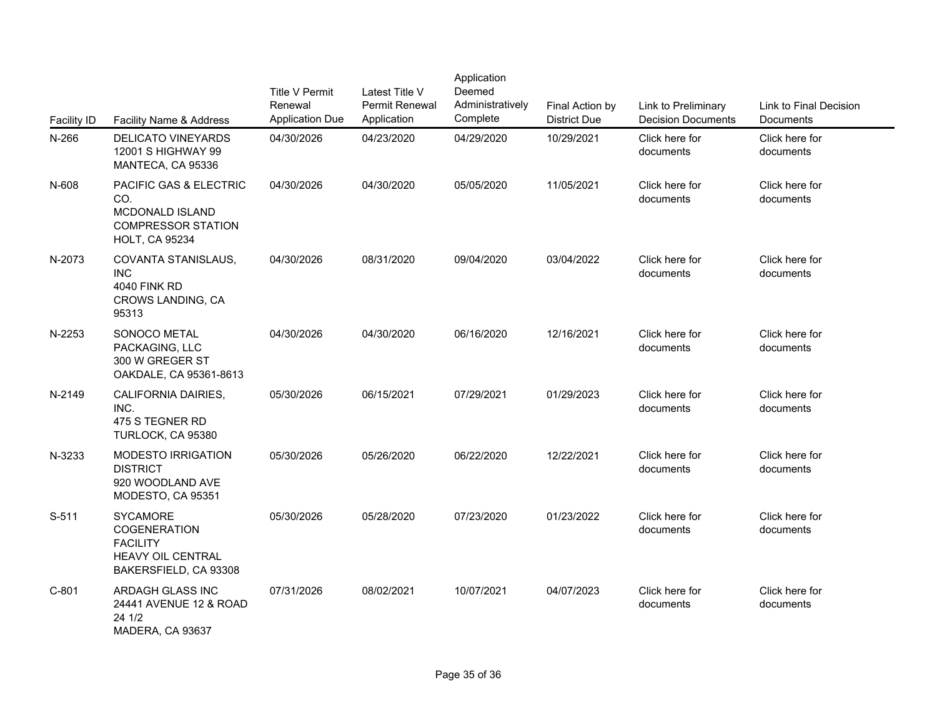| <b>Facility ID</b> | Facility Name & Address                                                                                           | <b>Title V Permit</b><br>Renewal<br><b>Application Due</b> | Latest Title V<br>Permit Renewal<br>Application | Application<br>Deemed<br>Administratively<br>Complete | Final Action by<br><b>District Due</b> | Link to Preliminary<br><b>Decision Documer</b> |
|--------------------|-------------------------------------------------------------------------------------------------------------------|------------------------------------------------------------|-------------------------------------------------|-------------------------------------------------------|----------------------------------------|------------------------------------------------|
| N-266              | <b>DELICATO VINEYARDS</b><br>12001 S HIGHWAY 99<br>MANTECA, CA 95336                                              | 04/30/2026                                                 | 04/23/2020                                      | 04/29/2020                                            | 10/29/2021                             | Click here for<br>documents                    |
| N-608              | <b>PACIFIC GAS &amp; ELECTRIC</b><br>CO.<br>MCDONALD ISLAND<br><b>COMPRESSOR STATION</b><br><b>HOLT, CA 95234</b> | 04/30/2026                                                 | 04/30/2020                                      | 05/05/2020                                            | 11/05/2021                             | Click here for<br>documents                    |
| N-2073             | COVANTA STANISLAUS,<br><b>INC</b><br><b>4040 FINK RD</b><br>CROWS LANDING, CA<br>95313                            | 04/30/2026                                                 | 08/31/2020                                      | 09/04/2020                                            | 03/04/2022                             | Click here for<br>documents                    |
| N-2253             | SONOCO METAL<br>PACKAGING, LLC<br>300 W GREGER ST<br>OAKDALE, CA 95361-8613                                       | 04/30/2026                                                 | 04/30/2020                                      | 06/16/2020                                            | 12/16/2021                             | Click here for<br>documents                    |
| N-2149             | CALIFORNIA DAIRIES,<br>INC.<br>475 S TEGNER RD<br>TURLOCK, CA 95380                                               | 05/30/2026                                                 | 06/15/2021                                      | 07/29/2021                                            | 01/29/2023                             | Click here for<br>documents                    |
| N-3233             | MODESTO IRRIGATION<br><b>DISTRICT</b><br>920 WOODLAND AVE<br>MODESTO, CA 95351                                    | 05/30/2026                                                 | 05/26/2020                                      | 06/22/2020                                            | 12/22/2021                             | Click here for<br>documents                    |
| $S-511$            | <b>SYCAMORE</b><br><b>COGENERATION</b><br><b>FACILITY</b><br><b>HEAVY OIL CENTRAL</b><br>BAKERSFIELD, CA 93308    | 05/30/2026                                                 | 05/28/2020                                      | 07/23/2020                                            | 01/23/2022                             | Click here for<br>documents                    |
| $C-801$            | ARDAGH GLASS INC<br>24441 AVENUE 12 & ROAD<br>24 1/2<br>MADERA, CA 93637                                          | 07/31/2026                                                 | 08/02/2021                                      | 10/07/2021                                            | 04/07/2023                             | Click here for<br>documents                    |